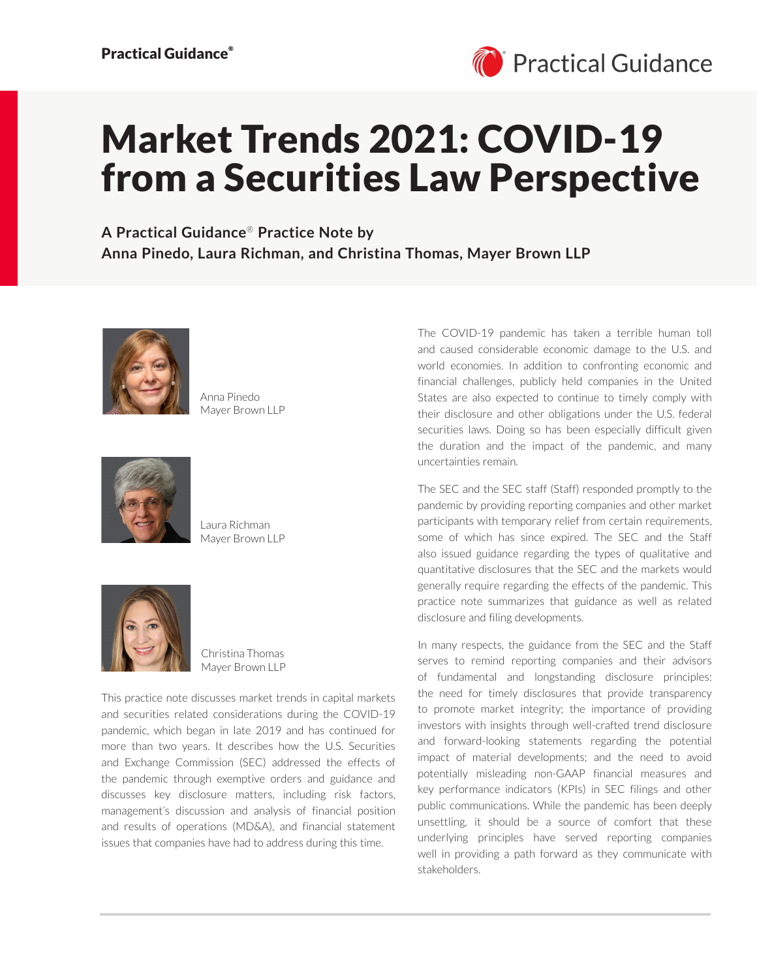

# Market Trends 2021: COVID-19 from a Securities Law Perspective

**A Practical Guidance**® **Practice Note by Anna Pinedo, Laura Richman, and Christina Thomas, Mayer Brown LLP**



Anna Pinedo Mayer Brown LLP



Laura Richman Mayer Brown LLP



Christina Thomas Mayer Brown LLP

This practice note discusses market trends in capital markets and securities related considerations during the COVID-19 pandemic, which began in late 2019 and has continued for more than two years. It describes how the U.S. Securities and Exchange Commission (SEC) addressed the effects of the pandemic through exemptive orders and guidance and discusses key disclosure matters, including risk factors, management's discussion and analysis of financial position and results of operations (MD&A), and financial statement issues that companies have had to address during this time.

The COVID-19 pandemic has taken a terrible human toll and caused considerable economic damage to the U.S. and world economies. In addition to confronting economic and financial challenges, publicly held companies in the United States are also expected to continue to timely comply with their disclosure and other obligations under the U.S. federal securities laws. Doing so has been especially difficult given the duration and the impact of the pandemic, and many uncertainties remain.

The SEC and the SEC staff (Staff) responded promptly to the pandemic by providing reporting companies and other market participants with temporary relief from certain requirements, some of which has since expired. The SEC and the Staff also issued guidance regarding the types of qualitative and quantitative disclosures that the SEC and the markets would generally require regarding the effects of the pandemic. This practice note summarizes that guidance as well as related disclosure and filing developments.

In many respects, the guidance from the SEC and the Staff serves to remind reporting companies and their advisors of fundamental and longstanding disclosure principles: the need for timely disclosures that provide transparency to promote market integrity; the importance of providing investors with insights through well-crafted trend disclosure and forward-looking statements regarding the potential impact of material developments; and the need to avoid potentially misleading non-GAAP financial measures and key performance indicators (KPIs) in SEC filings and other public communications. While the pandemic has been deeply unsettling, it should be a source of comfort that these underlying principles have served reporting companies well in providing a path forward as they communicate with stakeholders.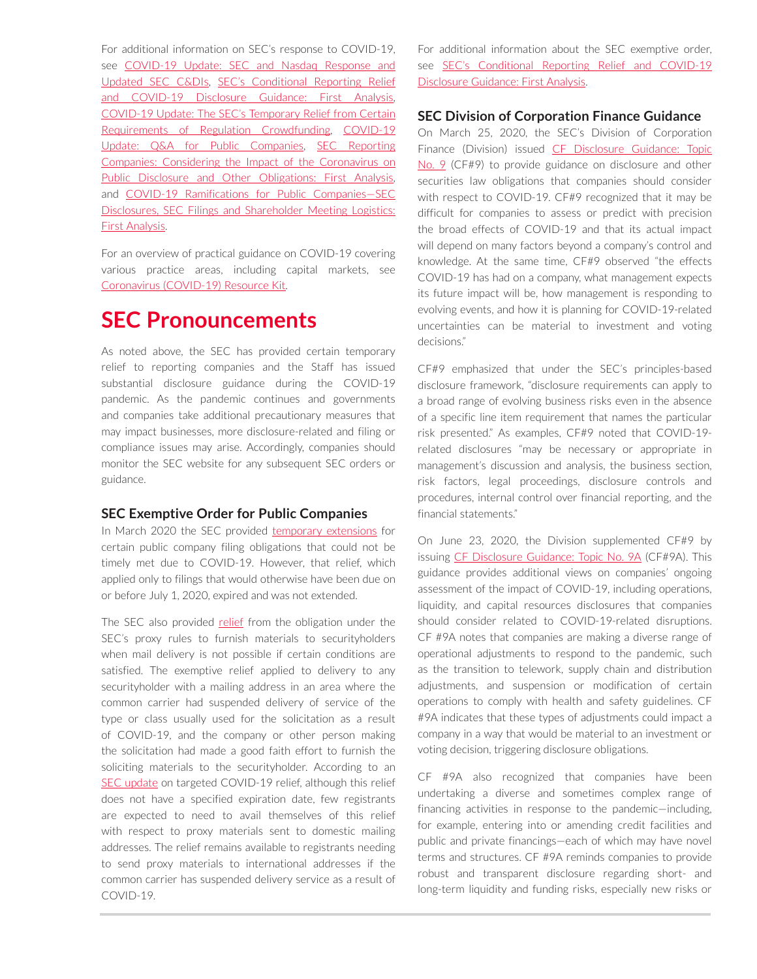For additional information on SEC's response to COVID-19, see COVID-19 Update: SEC and Nasdaq Response and [Updated SEC C&DIs,](https://advance.lexis.com/open/document/lpadocument/?pdmfid=1000522&pddocfullpath=%2Fshared%2Fdocument%2Fanalytical-materials%2Furn%3AcontentItem%3A5YRM-PT61-F5T5-M28P-00000-00&pdcontentcomponentid=500750&pdteaserkey=sr0&pditab=allpods&ecomp=-trg&earg=sr0) [SEC's Conditional Reporting Relief](https://advance.lexis.com/open/document/lpadocument/?pdmfid=1000522&pddocfullpath=%2Fshared%2Fdocument%2Fanalytical-materials%2Furn%3AcontentItem%3A5YJH-K7H1-DY33-B4N4-00000-00&pdcontentcomponentid=500750&pdteaserkey=sr0&pditab=allpods&ecomp=-trg&earg=sr0)  [and COVID-19 Disclosure Guidance: First Analysis](https://advance.lexis.com/open/document/lpadocument/?pdmfid=1000522&pddocfullpath=%2Fshared%2Fdocument%2Fanalytical-materials%2Furn%3AcontentItem%3A5YJH-K7H1-DY33-B4N4-00000-00&pdcontentcomponentid=500750&pdteaserkey=sr0&pditab=allpods&ecomp=-trg&earg=sr0), [COVID-19 Update: The SEC's Temporary Relief from Certain](https://advance.lexis.com/open/document/lpadocument/?pdmfid=1000522&pddocfullpath=%2Fshared%2Fdocument%2Fanalytical-materials%2Furn%3AcontentItem%3A602K-DTF1-F22N-X2T6-00000-00&pdcontentcomponentid=500750&pdteaserkey=sr0&pditab=allpods&ecomp=-trg&earg=sr0)  [Requirements of Regulation Crowdfunding](https://advance.lexis.com/open/document/lpadocument/?pdmfid=1000522&pddocfullpath=%2Fshared%2Fdocument%2Fanalytical-materials%2Furn%3AcontentItem%3A602K-DTF1-F22N-X2T6-00000-00&pdcontentcomponentid=500750&pdteaserkey=sr0&pditab=allpods&ecomp=-trg&earg=sr0), [COVID-19](https://advance.lexis.com/open/document/lpadocument/?pdmfid=1000522&pddocfullpath=%2Fshared%2Fdocument%2Fanalytical-materials%2Furn%3AcontentItem%3A5YTX-GTW1-JJ6S-62KN-00000-00&pdcontentcomponentid=500750&pdteaserkey=sr0&pditab=allpods&ecomp=-trg&earg=sr0)  [Update: Q&A for Public Companies,](https://advance.lexis.com/open/document/lpadocument/?pdmfid=1000522&pddocfullpath=%2Fshared%2Fdocument%2Fanalytical-materials%2Furn%3AcontentItem%3A5YTX-GTW1-JJ6S-62KN-00000-00&pdcontentcomponentid=500750&pdteaserkey=sr0&pditab=allpods&ecomp=-trg&earg=sr0) [SEC Reporting](https://advance.lexis.com/open/document/lpadocument/?pdmfid=1000522&pddocfullpath=%2Fshared%2Fdocument%2Fanalytical-materials%2Furn%3AcontentItem%3A5YDF-2BY1-JKHB-6366-00000-00&pdcontentcomponentid=500750&pdteaserkey=sr0&pditab=allpods&ecomp=-trg&earg=sr0)  [Companies: Considering the Impact of the Coronavirus on](https://advance.lexis.com/open/document/lpadocument/?pdmfid=1000522&pddocfullpath=%2Fshared%2Fdocument%2Fanalytical-materials%2Furn%3AcontentItem%3A5YDF-2BY1-JKHB-6366-00000-00&pdcontentcomponentid=500750&pdteaserkey=sr0&pditab=allpods&ecomp=-trg&earg=sr0)  [Public Disclosure and Other Obligations: First Analysis](https://advance.lexis.com/open/document/lpadocument/?pdmfid=1000522&pddocfullpath=%2Fshared%2Fdocument%2Fanalytical-materials%2Furn%3AcontentItem%3A5YDF-2BY1-JKHB-6366-00000-00&pdcontentcomponentid=500750&pdteaserkey=sr0&pditab=allpods&ecomp=-trg&earg=sr0), and [COVID-19 Ramifications for Public Companies—SEC](https://advance.lexis.com/open/document/lpadocument/?pdmfid=1000522&pddocfullpath=%2Fshared%2Fdocument%2Fanalytical-materials%2Furn%3AcontentItem%3A5YG6-9661-F528-G0K7-00000-00&pdcontentcomponentid=500750&pdteaserkey=sr0&pditab=allpods&ecomp=-trg&earg=sr0)  [Disclosures, SEC Filings and Shareholder Meeting Logistics:](https://advance.lexis.com/open/document/lpadocument/?pdmfid=1000522&pddocfullpath=%2Fshared%2Fdocument%2Fanalytical-materials%2Furn%3AcontentItem%3A5YG6-9661-F528-G0K7-00000-00&pdcontentcomponentid=500750&pdteaserkey=sr0&pditab=allpods&ecomp=-trg&earg=sr0)  [First Analysis.](https://advance.lexis.com/open/document/lpadocument/?pdmfid=1000522&pddocfullpath=%2Fshared%2Fdocument%2Fanalytical-materials%2Furn%3AcontentItem%3A5YG6-9661-F528-G0K7-00000-00&pdcontentcomponentid=500750&pdteaserkey=sr0&pditab=allpods&ecomp=-trg&earg=sr0)

For an overview of practical guidance on COVID-19 covering various practice areas, including capital markets, see [Coronavirus \(COVID-19\) Resource Kit](https://advance.lexis.com/open/document/lpadocument/?pdmfid=1000522&pddocfullpath=%2Fshared%2Fdocument%2Fanalytical-materials%2Furn%3AcontentItem%3A5YD8-0P11-F30T-B00R-00000-00&pdcontentcomponentid=500749&pdteaserkey=sr0&pditab=allpods&ecomp=-trg&earg=sr0).

## **SEC Pronouncements**

As noted above, the SEC has provided certain temporary relief to reporting companies and the Staff has issued substantial disclosure guidance during the COVID-19 pandemic. As the pandemic continues and governments and companies take additional precautionary measures that may impact businesses, more disclosure-related and filing or compliance issues may arise. Accordingly, companies should monitor the SEC website for any subsequent SEC orders or guidance.

### **SEC Exemptive Order for Public Companies**

In March 2020 the SEC provided [temporary extensions](https://www.sec.gov/rules/other/2020/34-88318.pdf) for certain public company filing obligations that could not be timely met due to COVID-19. However, that relief, which applied only to filings that would otherwise have been due on or before July 1, 2020, expired and was not extended.

The SEC also provided [relief](https://www.sec.gov/rules/other/2020/34-88318.pdf) from the obligation under the SEC's proxy rules to furnish materials to securityholders when mail delivery is not possible if certain conditions are satisfied. The exemptive relief applied to delivery to any securityholder with a mailing address in an area where the common carrier had suspended delivery of service of the type or class usually used for the solicitation as a result of COVID-19, and the company or other person making the solicitation had made a good faith effort to furnish the soliciting materials to the securityholder. According to an [SEC update](https://www.sec.gov/news/public-statement/update-commissions-targeted-regulatory-relief-assist-market-participants) on targeted COVID-19 relief, although this relief does not have a specified expiration date, few registrants are expected to need to avail themselves of this relief with respect to proxy materials sent to domestic mailing addresses. The relief remains available to registrants needing to send proxy materials to international addresses if the common carrier has suspended delivery service as a result of COVID-19.

For additional information about the SEC exemptive order, see [SEC's Conditional Reporting Relief and COVID-19](https://advance.lexis.com/open/document/lpadocument/?pdmfid=1000522&pddocfullpath=%2Fshared%2Fdocument%2Fanalytical-materials%2Furn%3AcontentItem%3A5YJH-K7H1-DY33-B4N4-00000-00&pdcontentcomponentid=500750&pdteaserkey=sr0&pditab=allpods&ecomp=-trg&earg=sr0)  [Disclosure Guidance: First Analysis.](https://advance.lexis.com/open/document/lpadocument/?pdmfid=1000522&pddocfullpath=%2Fshared%2Fdocument%2Fanalytical-materials%2Furn%3AcontentItem%3A5YJH-K7H1-DY33-B4N4-00000-00&pdcontentcomponentid=500750&pdteaserkey=sr0&pditab=allpods&ecomp=-trg&earg=sr0)

### **SEC Division of Corporation Finance Guidance**

On March 25, 2020, the SEC's Division of Corporation Finance (Division) issued CF Disclosure Guidance: Topic [No. 9](https://www.sec.gov/corpfin/coronavirus-covid-19) (CF#9) to provide guidance on disclosure and other securities law obligations that companies should consider with respect to COVID-19. CF#9 recognized that it may be difficult for companies to assess or predict with precision the broad effects of COVID-19 and that its actual impact will depend on many factors beyond a company's control and knowledge. At the same time, CF#9 observed "the effects COVID-19 has had on a company, what management expects its future impact will be, how management is responding to evolving events, and how it is planning for COVID-19-related uncertainties can be material to investment and voting decisions."

CF#9 emphasized that under the SEC's principles-based disclosure framework, "disclosure requirements can apply to a broad range of evolving business risks even in the absence of a specific line item requirement that names the particular risk presented." As examples, CF#9 noted that COVID-19 related disclosures "may be necessary or appropriate in management's discussion and analysis, the business section, risk factors, legal proceedings, disclosure controls and procedures, internal control over financial reporting, and the financial statements."

On June 23, 2020, the Division supplemented CF#9 by issuing [CF Disclosure Guidance: Topic No. 9A](https://www.sec.gov/corpfin/covid-19-disclosure-considerations) (CF#9A). This guidance provides additional views on companies' ongoing assessment of the impact of COVID-19, including operations, liquidity, and capital resources disclosures that companies should consider related to COVID-19-related disruptions. CF #9A notes that companies are making a diverse range of operational adjustments to respond to the pandemic, such as the transition to telework, supply chain and distribution adjustments, and suspension or modification of certain operations to comply with health and safety guidelines. CF #9A indicates that these types of adjustments could impact a company in a way that would be material to an investment or voting decision, triggering disclosure obligations.

CF #9A also recognized that companies have been undertaking a diverse and sometimes complex range of financing activities in response to the pandemic—including, for example, entering into or amending credit facilities and public and private financings—each of which may have novel terms and structures. CF #9A reminds companies to provide robust and transparent disclosure regarding short- and long-term liquidity and funding risks, especially new risks or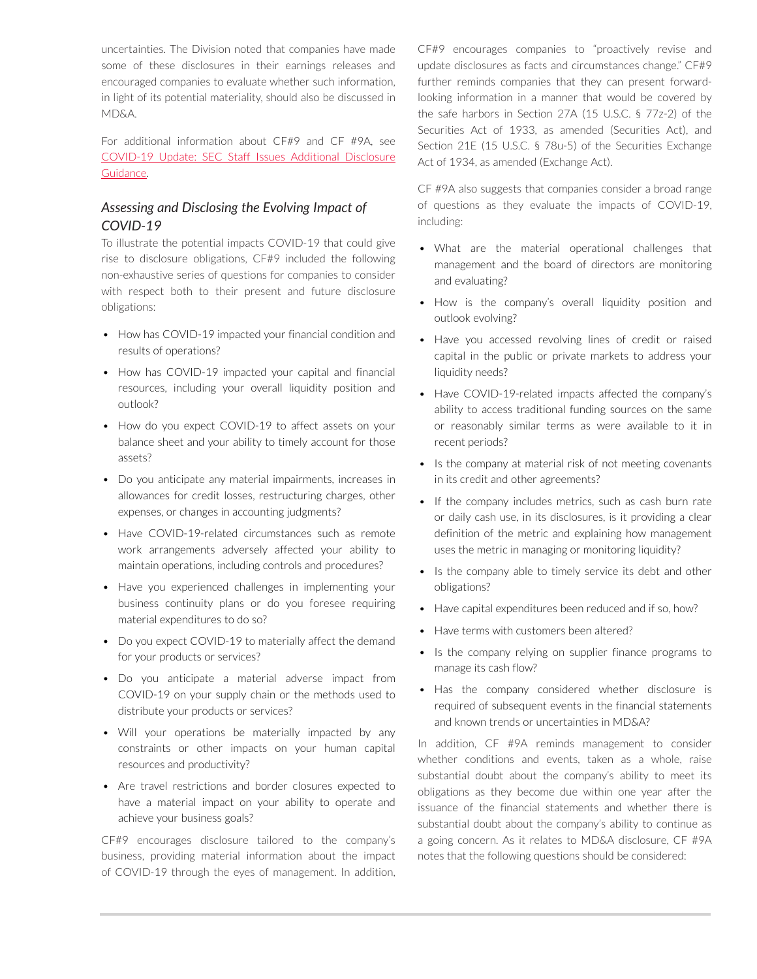uncertainties. The Division noted that companies have made some of these disclosures in their earnings releases and encouraged companies to evaluate whether such information, in light of its potential materiality, should also be discussed in MD&A.

For additional information about CF#9 and CF #9A, see [COVID-19 Update: SEC Staff Issues Additional Disclosure](https://advance.lexis.com/open/document/lpadocument/?pdmfid=1000522&pddocfullpath=%2Fshared%2Fdocument%2Fanalytical-materials%2Furn%3AcontentItem%3A607X-NN71-FBV7-B3HV-00000-00&pdcontentcomponentid=500750&pdteaserkey=sr0&pditab=allpods&ecomp=-trg&earg=sr0)  [Guidance.](https://advance.lexis.com/open/document/lpadocument/?pdmfid=1000522&pddocfullpath=%2Fshared%2Fdocument%2Fanalytical-materials%2Furn%3AcontentItem%3A607X-NN71-FBV7-B3HV-00000-00&pdcontentcomponentid=500750&pdteaserkey=sr0&pditab=allpods&ecomp=-trg&earg=sr0)

### *Assessing and Disclosing the Evolving Impact of COVID-19*

To illustrate the potential impacts COVID-19 that could give rise to disclosure obligations, CF#9 included the following non-exhaustive series of questions for companies to consider with respect both to their present and future disclosure obligations:

- How has COVID-19 impacted your financial condition and results of operations?
- How has COVID-19 impacted your capital and financial resources, including your overall liquidity position and outlook?
- How do you expect COVID-19 to affect assets on your balance sheet and your ability to timely account for those assets?
- Do you anticipate any material impairments, increases in allowances for credit losses, restructuring charges, other expenses, or changes in accounting judgments?
- Have COVID-19-related circumstances such as remote work arrangements adversely affected your ability to maintain operations, including controls and procedures?
- Have you experienced challenges in implementing your business continuity plans or do you foresee requiring material expenditures to do so?
- Do you expect COVID-19 to materially affect the demand for your products or services?
- Do you anticipate a material adverse impact from COVID-19 on your supply chain or the methods used to distribute your products or services?
- Will your operations be materially impacted by any constraints or other impacts on your human capital resources and productivity?
- Are travel restrictions and border closures expected to have a material impact on your ability to operate and achieve your business goals?

CF#9 encourages disclosure tailored to the company's business, providing material information about the impact of COVID-19 through the eyes of management. In addition, CF#9 encourages companies to "proactively revise and update disclosures as facts and circumstances change." CF#9 further reminds companies that they can present forwardlooking information in a manner that would be covered by the safe harbors in Section 27A (15 U.S.C. § 77z-2) of the Securities Act of 1933, as amended (Securities Act), and Section 21E (15 U.S.C. § 78u-5) of the Securities Exchange Act of 1934, as amended (Exchange Act).

CF #9A also suggests that companies consider a broad range of questions as they evaluate the impacts of COVID-19, including:

- What are the material operational challenges that management and the board of directors are monitoring and evaluating?
- How is the company's overall liquidity position and outlook evolving?
- Have you accessed revolving lines of credit or raised capital in the public or private markets to address your liquidity needs?
- Have COVID-19-related impacts affected the company's ability to access traditional funding sources on the same or reasonably similar terms as were available to it in recent periods?
- Is the company at material risk of not meeting covenants in its credit and other agreements?
- If the company includes metrics, such as cash burn rate or daily cash use, in its disclosures, is it providing a clear definition of the metric and explaining how management uses the metric in managing or monitoring liquidity?
- Is the company able to timely service its debt and other obligations?
- Have capital expenditures been reduced and if so, how?
- Have terms with customers been altered?
- Is the company relying on supplier finance programs to manage its cash flow?
- Has the company considered whether disclosure is required of subsequent events in the financial statements and known trends or uncertainties in MD&A?

In addition, CF #9A reminds management to consider whether conditions and events, taken as a whole, raise substantial doubt about the company's ability to meet its obligations as they become due within one year after the issuance of the financial statements and whether there is substantial doubt about the company's ability to continue as a going concern. As it relates to MD&A disclosure, CF #9A notes that the following questions should be considered: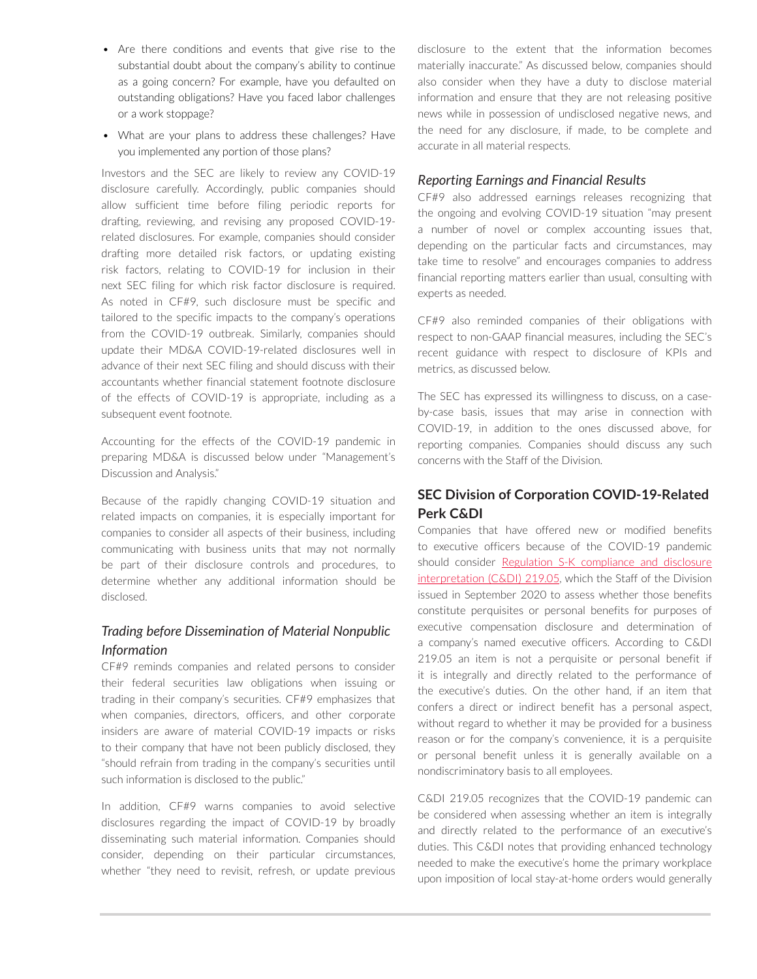- Are there conditions and events that give rise to the substantial doubt about the company's ability to continue as a going concern? For example, have you defaulted on outstanding obligations? Have you faced labor challenges or a work stoppage?
- What are your plans to address these challenges? Have you implemented any portion of those plans?

Investors and the SEC are likely to review any COVID-19 disclosure carefully. Accordingly, public companies should allow sufficient time before filing periodic reports for drafting, reviewing, and revising any proposed COVID-19 related disclosures. For example, companies should consider drafting more detailed risk factors, or updating existing risk factors, relating to COVID-19 for inclusion in their next SEC filing for which risk factor disclosure is required. As noted in CF#9, such disclosure must be specific and tailored to the specific impacts to the company's operations from the COVID-19 outbreak. Similarly, companies should update their MD&A COVID-19-related disclosures well in advance of their next SEC filing and should discuss with their accountants whether financial statement footnote disclosure of the effects of COVID-19 is appropriate, including as a subsequent event footnote.

Accounting for the effects of the COVID-19 pandemic in preparing MD&A is discussed below under "Management's Discussion and Analysis."

Because of the rapidly changing COVID-19 situation and related impacts on companies, it is especially important for companies to consider all aspects of their business, including communicating with business units that may not normally be part of their disclosure controls and procedures, to determine whether any additional information should be disclosed.

### *Trading before Dissemination of Material Nonpublic Information*

CF#9 reminds companies and related persons to consider their federal securities law obligations when issuing or trading in their company's securities. CF#9 emphasizes that when companies, directors, officers, and other corporate insiders are aware of material COVID-19 impacts or risks to their company that have not been publicly disclosed, they "should refrain from trading in the company's securities until such information is disclosed to the public."

In addition, CF#9 warns companies to avoid selective disclosures regarding the impact of COVID-19 by broadly disseminating such material information. Companies should consider, depending on their particular circumstances, whether "they need to revisit, refresh, or update previous disclosure to the extent that the information becomes materially inaccurate." As discussed below, companies should also consider when they have a duty to disclose material information and ensure that they are not releasing positive news while in possession of undisclosed negative news, and the need for any disclosure, if made, to be complete and accurate in all material respects.

### *Reporting Earnings and Financial Results*

CF#9 also addressed earnings releases recognizing that the ongoing and evolving COVID-19 situation "may present a number of novel or complex accounting issues that, depending on the particular facts and circumstances, may take time to resolve" and encourages companies to address financial reporting matters earlier than usual, consulting with experts as needed.

CF#9 also reminded companies of their obligations with respect to non-GAAP financial measures, including the SEC's recent guidance with respect to disclosure of KPIs and metrics, as discussed below.

The SEC has expressed its willingness to discuss, on a caseby-case basis, issues that may arise in connection with COVID-19, in addition to the ones discussed above, for reporting companies. Companies should discuss any such concerns with the Staff of the Division.

### **SEC Division of Corporation COVID-19-Related Perk C&DI**

Companies that have offered new or modified benefits to executive officers because of the COVID-19 pandemic should consider Regulation S-K compliance and disclosure [interpretation \(C&DI\) 219.05,](https://www.sec.gov/divisions/corpfin/guidance/regs-kinterp.htm) which the Staff of the Division issued in September 2020 to assess whether those benefits constitute perquisites or personal benefits for purposes of executive compensation disclosure and determination of a company's named executive officers. According to C&DI 219.05 an item is not a perquisite or personal benefit if it is integrally and directly related to the performance of the executive's duties. On the other hand, if an item that confers a direct or indirect benefit has a personal aspect, without regard to whether it may be provided for a business reason or for the company's convenience, it is a perquisite or personal benefit unless it is generally available on a nondiscriminatory basis to all employees.

C&DI 219.05 recognizes that the COVID-19 pandemic can be considered when assessing whether an item is integrally and directly related to the performance of an executive's duties. This C&DI notes that providing enhanced technology needed to make the executive's home the primary workplace upon imposition of local stay-at-home orders would generally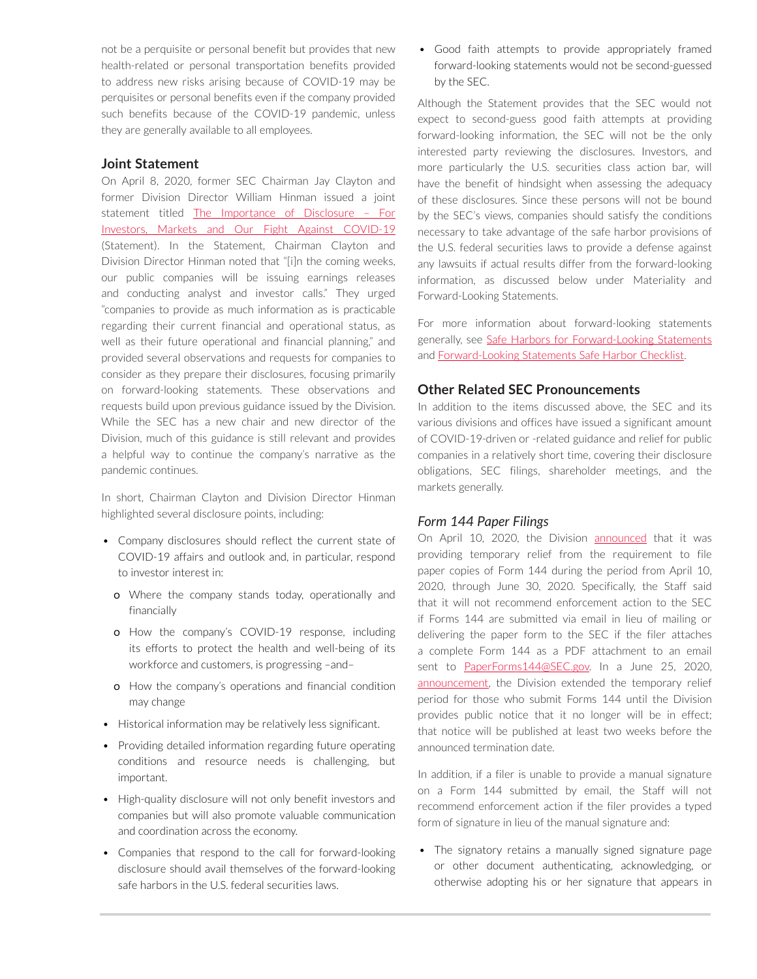not be a perquisite or personal benefit but provides that new health-related or personal transportation benefits provided to address new risks arising because of COVID-19 may be perquisites or personal benefits even if the company provided such benefits because of the COVID-19 pandemic, unless they are generally available to all employees.

#### **Joint Statement**

On April 8, 2020, former SEC Chairman Jay Clayton and former Division Director William Hinman issued a joint statement titled [The Importance of Disclosure – For](https://www.sec.gov/news/public-statement/statement-clayton-hinman) [Investors, Markets and Our Fight Against COVID-19](https://www.sec.gov/news/public-statement/statement-clayton-hinman) (Statement). In the Statement, Chairman Clayton and Division Director Hinman noted that "[i]n the coming weeks, our public companies will be issuing earnings releases and conducting analyst and investor calls." They urged "companies to provide as much information as is practicable regarding their current financial and operational status, as well as their future operational and financial planning," and provided several observations and requests for companies to consider as they prepare their disclosures, focusing primarily on forward-looking statements. These observations and requests build upon previous guidance issued by the Division. While the SEC has a new chair and new director of the Division, much of this guidance is still relevant and provides a helpful way to continue the company's narrative as the pandemic continues.

In short, Chairman Clayton and Division Director Hinman highlighted several disclosure points, including:

- Company disclosures should reflect the current state of COVID-19 affairs and outlook and, in particular, respond to investor interest in:
	- o Where the company stands today, operationally and financially
	- o How the company's COVID-19 response, including its efforts to protect the health and well-being of its workforce and customers, is progressing –and–
	- o How the company's operations and financial condition may change
- Historical information may be relatively less significant.
- Providing detailed information regarding future operating conditions and resource needs is challenging, but important.
- High-quality disclosure will not only benefit investors and companies but will also promote valuable communication and coordination across the economy.
- Companies that respond to the call for forward-looking disclosure should avail themselves of the forward-looking safe harbors in the U.S. federal securities laws.

• Good faith attempts to provide appropriately framed forward-looking statements would not be second-guessed by the SEC.

Although the Statement provides that the SEC would not expect to second-guess good faith attempts at providing forward-looking information, the SEC will not be the only interested party reviewing the disclosures. Investors, and more particularly the U.S. securities class action bar, will have the benefit of hindsight when assessing the adequacy of these disclosures. Since these persons will not be bound by the SEC's views, companies should satisfy the conditions necessary to take advantage of the safe harbor provisions of the U.S. federal securities laws to provide a defense against any lawsuits if actual results differ from the forward-looking information, as discussed below under Materiality and Forward-Looking Statements.

For more information about forward-looking statements generally, see [Safe Harbors for Forward-Looking Statements](https://advance.lexis.com/open/document/lpadocument/?pdmfid=1000522&pddocfullpath=%2Fshared%2Fdocument%2Fanalytical-materials%2Furn%3AcontentItem%3A576Y-2CH1-DXPM-S04B-00000-00&pdcontentcomponentid=500749&pdteaserkey=sr0&pditab=allpods&ecomp=-trg&earg=sr0) and [Forward-Looking Statements Safe Harbor Checklist.](https://advance.lexis.com/open/document/lpadocument/?pdmfid=1000522&pddocfullpath=%2Fshared%2Fdocument%2Fforms%2Furn%3AcontentItem%3A5JFD-52G1-FG68-G4HY-00000-00&pdcontentcomponentid=500751&pdteaserkey=sr0&pditab=allpods&ecomp=-trg&earg=sr0)

#### **Other Related SEC Pronouncements**

In addition to the items discussed above, the SEC and its various divisions and offices have issued a significant amount of COVID-19-driven or -related guidance and relief for public companies in a relatively short time, covering their disclosure obligations, SEC filings, shareholder meetings, and the markets generally.

#### *Form 144 Paper Filings*

On April 10, 2020, the Division [announced](https://www.sec.gov/corpfin/announcement/form-144-paper-filings-email-option) that it was providing temporary relief from the requirement to file paper copies of Form 144 during the period from April 10, 2020, through June 30, 2020. Specifically, the Staff said that it will not recommend enforcement action to the SEC if Forms 144 are submitted via email in lieu of mailing or delivering the paper form to the SEC if the filer attaches a complete Form 144 as a PDF attachment to an email sent to [PaperForms144@SEC.gov.](mailto:mailto:PaperForms144@SEC.gov) In a June 25, 2020, [announcement](https://www.sec.gov/corpfin/announcement/form-144-paper-filings-email-option-update), the Division extended the temporary relief period for those who submit Forms 144 until the Division provides public notice that it no longer will be in effect; that notice will be published at least two weeks before the announced termination date.

In addition, if a filer is unable to provide a manual signature on a Form 144 submitted by email, the Staff will not recommend enforcement action if the filer provides a typed form of signature in lieu of the manual signature and:

• The signatory retains a manually signed signature page or other document authenticating, acknowledging, or otherwise adopting his or her signature that appears in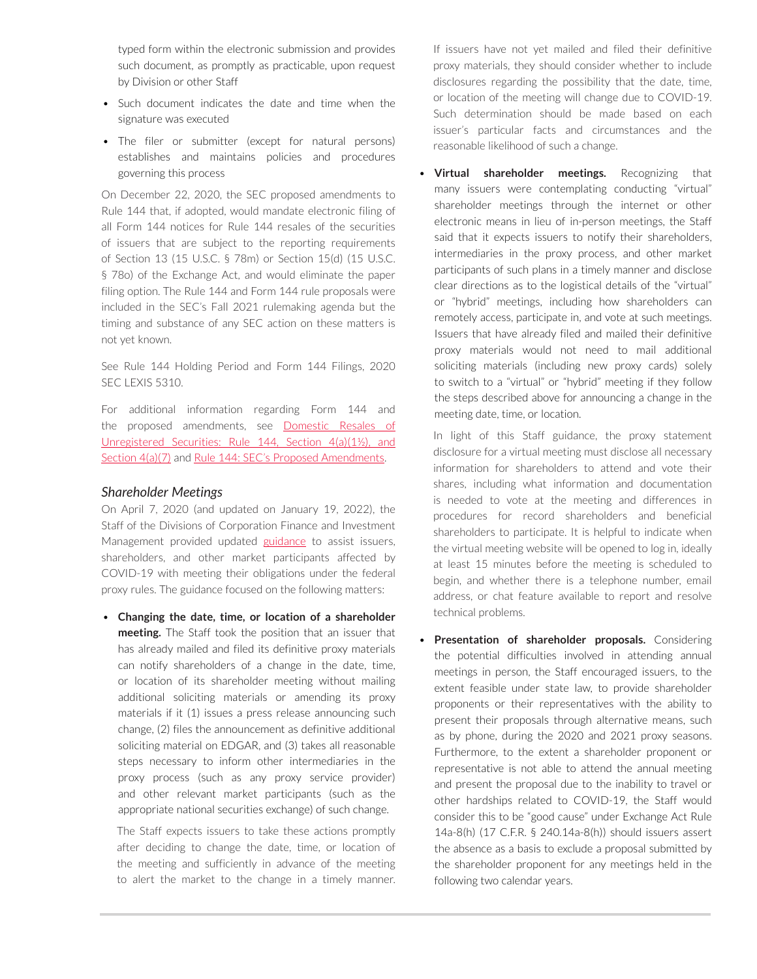typed form within the electronic submission and provides such document, as promptly as practicable, upon request by Division or other Staff

- Such document indicates the date and time when the signature was executed
- The filer or submitter (except for natural persons) establishes and maintains policies and procedures governing this process

On December 22, 2020, the SEC proposed amendments to Rule 144 that, if adopted, would mandate electronic filing of all Form 144 notices for Rule 144 resales of the securities of issuers that are subject to the reporting requirements of Section 13 (15 U.S.C. § 78m) or Section 15(d) (15 U.S.C. § 78o) of the Exchange Act, and would eliminate the paper filing option. The Rule 144 and Form 144 rule proposals were included in the SEC's Fall 2021 rulemaking agenda but the timing and substance of any SEC action on these matters is not yet known.

See Rule 144 Holding Period and Form 144 Filings, 2020 SEC LEXIS 5310.

For additional information regarding Form 144 and the proposed amendments, see [Domestic Resales of](https://advance.lexis.com/open/document/lpadocument/?pdmfid=1000522&pddocfullpath=%2Fshared%2Fdocument%2Fanalytical-materials%2Furn%3AcontentItem%3A5ND4-1K51-JFDC-X0N0-00000-00&pdcontentcomponentid=500749&pdteaserkey=sr0&pditab=allpods&ecomp=-trg&earg=sr0) [Unregistered Securities: Rule 144, Section 4\(a\)\(1½\), and](https://advance.lexis.com/open/document/lpadocument/?pdmfid=1000522&pddocfullpath=%2Fshared%2Fdocument%2Fanalytical-materials%2Furn%3AcontentItem%3A5ND4-1K51-JFDC-X0N0-00000-00&pdcontentcomponentid=500749&pdteaserkey=sr0&pditab=allpods&ecomp=-trg&earg=sr0)  [Section 4\(a\)\(7\)](https://advance.lexis.com/open/document/lpadocument/?pdmfid=1000522&pddocfullpath=%2Fshared%2Fdocument%2Fanalytical-materials%2Furn%3AcontentItem%3A5ND4-1K51-JFDC-X0N0-00000-00&pdcontentcomponentid=500749&pdteaserkey=sr0&pditab=allpods&ecomp=-trg&earg=sr0) and [Rule 144: SEC's Proposed Amendments](https://advance.lexis.com/open/document/lpadocument/?pdmfid=1000522&pddocfullpath=%2Fshared%2Fdocument%2Fanalytical-materials%2Furn%3AcontentItem%3A621B-93V1-JF1Y-B3TT-00000-00&pdcontentcomponentid=500750&pdteaserkey=sr0&pditab=allpods&ecomp=-trg&earg=sr0).

#### *Shareholder Meetings*

On April 7, 2020 (and updated on January 19, 2022), the Staff of the Divisions of Corporation Finance and Investment Management provided updated [guidance](https://www.sec.gov/ocr/staff-guidance-conducting-annual-meetings-light-covid-19-concerns) to assist issuers, shareholders, and other market participants affected by COVID-19 with meeting their obligations under the federal proxy rules. The guidance focused on the following matters:

• **Changing the date, time, or location of a shareholder meeting.** The Staff took the position that an issuer that has already mailed and filed its definitive proxy materials can notify shareholders of a change in the date, time, or location of its shareholder meeting without mailing additional soliciting materials or amending its proxy materials if it (1) issues a press release announcing such change, (2) files the announcement as definitive additional soliciting material on EDGAR, and (3) takes all reasonable steps necessary to inform other intermediaries in the proxy process (such as any proxy service provider) and other relevant market participants (such as the appropriate national securities exchange) of such change.

The Staff expects issuers to take these actions promptly after deciding to change the date, time, or location of the meeting and sufficiently in advance of the meeting to alert the market to the change in a timely manner. If issuers have not yet mailed and filed their definitive proxy materials, they should consider whether to include disclosures regarding the possibility that the date, time, or location of the meeting will change due to COVID-19. Such determination should be made based on each issuer's particular facts and circumstances and the reasonable likelihood of such a change.

**Virtual shareholder meetings.** Recognizing that many issuers were contemplating conducting "virtual" shareholder meetings through the internet or other electronic means in lieu of in-person meetings, the Staff said that it expects issuers to notify their shareholders, intermediaries in the proxy process, and other market participants of such plans in a timely manner and disclose clear directions as to the logistical details of the "virtual" or "hybrid" meetings, including how shareholders can remotely access, participate in, and vote at such meetings. Issuers that have already filed and mailed their definitive proxy materials would not need to mail additional soliciting materials (including new proxy cards) solely to switch to a "virtual" or "hybrid" meeting if they follow the steps described above for announcing a change in the meeting date, time, or location.

In light of this Staff guidance, the proxy statement disclosure for a virtual meeting must disclose all necessary information for shareholders to attend and vote their shares, including what information and documentation is needed to vote at the meeting and differences in procedures for record shareholders and beneficial shareholders to participate. It is helpful to indicate when the virtual meeting website will be opened to log in, ideally at least 15 minutes before the meeting is scheduled to begin, and whether there is a telephone number, email address, or chat feature available to report and resolve technical problems.

**Presentation of shareholder proposals.** Considering the potential difficulties involved in attending annual meetings in person, the Staff encouraged issuers, to the extent feasible under state law, to provide shareholder proponents or their representatives with the ability to present their proposals through alternative means, such as by phone, during the 2020 and 2021 proxy seasons. Furthermore, to the extent a shareholder proponent or representative is not able to attend the annual meeting and present the proposal due to the inability to travel or other hardships related to COVID-19, the Staff would consider this to be "good cause" under Exchange Act Rule 14a-8(h) (17 C.F.R. § 240.14a-8(h)) should issuers assert the absence as a basis to exclude a proposal submitted by the shareholder proponent for any meetings held in the following two calendar years.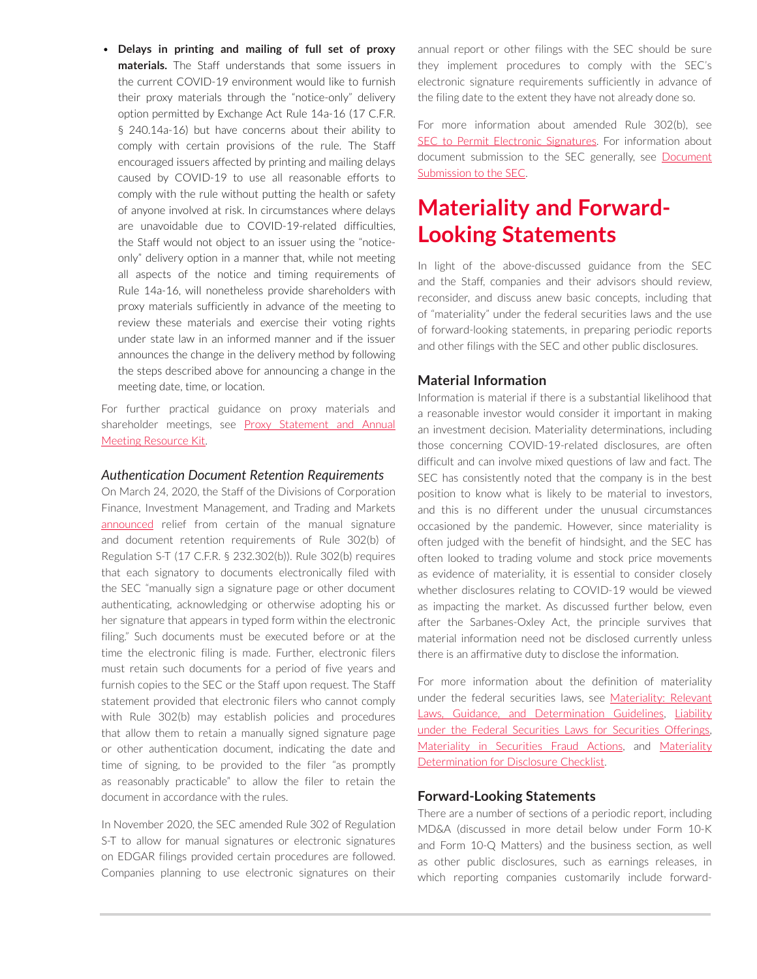• **Delays in printing and mailing of full set of proxy materials.** The Staff understands that some issuers in the current COVID-19 environment would like to furnish their proxy materials through the "notice-only" delivery option permitted by Exchange Act Rule 14a-16 (17 C.F.R. § 240.14a-16) but have concerns about their ability to comply with certain provisions of the rule. The Staff encouraged issuers affected by printing and mailing delays caused by COVID-19 to use all reasonable efforts to comply with the rule without putting the health or safety of anyone involved at risk. In circumstances where delays are unavoidable due to COVID-19-related difficulties, the Staff would not object to an issuer using the "noticeonly" delivery option in a manner that, while not meeting all aspects of the notice and timing requirements of Rule 14a-16, will nonetheless provide shareholders with proxy materials sufficiently in advance of the meeting to review these materials and exercise their voting rights under state law in an informed manner and if the issuer announces the change in the delivery method by following the steps described above for announcing a change in the meeting date, time, or location.

For further practical guidance on proxy materials and shareholder meetings, see Proxy Statement and Annual [Meeting Resource Kit](https://advance.lexis.com/open/document/lpadocument/?pdmfid=1000522&pddocfullpath=%2Fshared%2Fdocument%2Fanalytical-materials%2Furn%3AcontentItem%3A5MM6-CB71-K054-G29V-00000-00&pdcontentcomponentid=500749&pdteaserkey=sr0&pditab=allpods&ecomp=-trg&earg=sr0).

#### *Authentication Document Retention Requirements*

On March 24, 2020, the Staff of the Divisions of Corporation Finance, Investment Management, and Trading and Markets [announced](https://www.sec.gov/corpfin/announcement/staff-statement-regarding-rule-302b-regulation-s-t-light-covid-19-concerns) relief from certain of the manual signature and document retention requirements of Rule 302(b) of Regulation S-T (17 C.F.R. § 232.302(b)). Rule 302(b) requires that each signatory to documents electronically filed with the SEC "manually sign a signature page or other document authenticating, acknowledging or otherwise adopting his or her signature that appears in typed form within the electronic filing." Such documents must be executed before or at the time the electronic filing is made. Further, electronic filers must retain such documents for a period of five years and furnish copies to the SEC or the Staff upon request. The Staff statement provided that electronic filers who cannot comply with Rule 302(b) may establish policies and procedures that allow them to retain a manually signed signature page or other authentication document, indicating the date and time of signing, to be provided to the filer "as promptly as reasonably practicable" to allow the filer to retain the document in accordance with the rules.

In November 2020, the SEC amended Rule 302 of Regulation S-T to allow for manual signatures or electronic signatures on EDGAR filings provided certain procedures are followed. Companies planning to use electronic signatures on their annual report or other filings with the SEC should be sure they implement procedures to comply with the SEC's electronic signature requirements sufficiently in advance of the filing date to the extent they have not already done so.

For more information about amended Rule 302(b), see [SEC to Permit Electronic Signatures.](https://advance.lexis.com/open/document/lpadocument/?pdmfid=1000522&pddocfullpath=%2Fshared%2Fdocument%2Fanalytical-materials%2Furn%3AcontentItem%3A61FB-PNR1-JN14-G0F8-00000-00&pdcontentcomponentid=500750&pdteaserkey=sr0&pditab=allpods&ecomp=-trg&earg=sr0) For information about document submission to the SEC generally, see Document [Submission to the SEC](https://advance.lexis.com/open/document/lpadocument/?pdmfid=1000522&pddocfullpath=%2Fshared%2Fdocument%2Fanalytical-materials%2Furn%3AcontentItem%3A5NNK-TSW1-F1H1-203J-00000-00&pdcontentcomponentid=500749&pdteaserkey=sr0&pditab=allpods&ecomp=-trg&earg=sr0).

# **Materiality and Forward-Looking Statements**

In light of the above-discussed guidance from the SEC and the Staff, companies and their advisors should review, reconsider, and discuss anew basic concepts, including that of "materiality" under the federal securities laws and the use of forward-looking statements, in preparing periodic reports and other filings with the SEC and other public disclosures.

#### **Material Information**

Information is material if there is a substantial likelihood that a reasonable investor would consider it important in making an investment decision. Materiality determinations, including those concerning COVID-19-related disclosures, are often difficult and can involve mixed questions of law and fact. The SEC has consistently noted that the company is in the best position to know what is likely to be material to investors, and this is no different under the unusual circumstances occasioned by the pandemic. However, since materiality is often judged with the benefit of hindsight, and the SEC has often looked to trading volume and stock price movements as evidence of materiality, it is essential to consider closely whether disclosures relating to COVID-19 would be viewed as impacting the market. As discussed further below, even after the Sarbanes-Oxley Act, the principle survives that material information need not be disclosed currently unless there is an affirmative duty to disclose the information.

For more information about the definition of materiality under the federal securities laws, see [Materiality: Relevant](https://advance.lexis.com/open/document/lpadocument/?pdmfid=1000522&pddocfullpath=%2Fshared%2Fdocument%2Fanalytical-materials%2Furn%3AcontentItem%3A576Y-2CH1-DXPM-S054-00000-00&pdcontentcomponentid=500749&pdteaserkey=sr0&pditab=allpods&ecomp=-trg&earg=sr0)  [Laws, Guidance, and Determination Guidelines](https://advance.lexis.com/open/document/lpadocument/?pdmfid=1000522&pddocfullpath=%2Fshared%2Fdocument%2Fanalytical-materials%2Furn%3AcontentItem%3A576Y-2CH1-DXPM-S054-00000-00&pdcontentcomponentid=500749&pdteaserkey=sr0&pditab=allpods&ecomp=-trg&earg=sr0), [Liability](https://advance.lexis.com/open/document/lpadocument/?pdmfid=1000522&pddocfullpath=%2Fshared%2Fdocument%2Fanalytical-materials%2Furn%3AcontentItem%3A5NDT-0XC1-JTNR-M30C-00000-00&pdcontentcomponentid=500749&pdteaserkey=sr0&pditab=allpods&ecomp=-trg&earg=sr0)  [under the Federal Securities Laws for Securities Offerings](https://advance.lexis.com/open/document/lpadocument/?pdmfid=1000522&pddocfullpath=%2Fshared%2Fdocument%2Fanalytical-materials%2Furn%3AcontentItem%3A5NDT-0XC1-JTNR-M30C-00000-00&pdcontentcomponentid=500749&pdteaserkey=sr0&pditab=allpods&ecomp=-trg&earg=sr0), [Materiality in Securities Fraud Actions,](https://advance.lexis.com/open/document/lpadocument/?pdmfid=1000522&pddocfullpath=%2Fshared%2Fdocument%2Fanalytical-materials%2Furn%3AcontentItem%3A62BC-GW81-FGJR-226X-00000-00&pdcontentcomponentid=500749&pdteaserkey=sr0&pditab=allpods&ecomp=-trg&earg=sr0) and [Materiality](https://advance.lexis.com/open/document/lpadocument/?pdmfid=1000522&pddocfullpath=%2Fshared%2Fdocument%2Fforms%2Furn%3AcontentItem%3A5DKD-NRT1-F4GK-M3J1-00000-00&pdcontentcomponentid=500751&pdteaserkey=sr0&pditab=allpods&ecomp=-trg&earg=sr0)  [Determination for Disclosure Checklist](https://advance.lexis.com/open/document/lpadocument/?pdmfid=1000522&pddocfullpath=%2Fshared%2Fdocument%2Fforms%2Furn%3AcontentItem%3A5DKD-NRT1-F4GK-M3J1-00000-00&pdcontentcomponentid=500751&pdteaserkey=sr0&pditab=allpods&ecomp=-trg&earg=sr0).

#### **Forward-Looking Statements**

There are a number of sections of a periodic report, including MD&A (discussed in more detail below under Form 10-K and Form 10-Q Matters) and the business section, as well as other public disclosures, such as earnings releases, in which reporting companies customarily include forward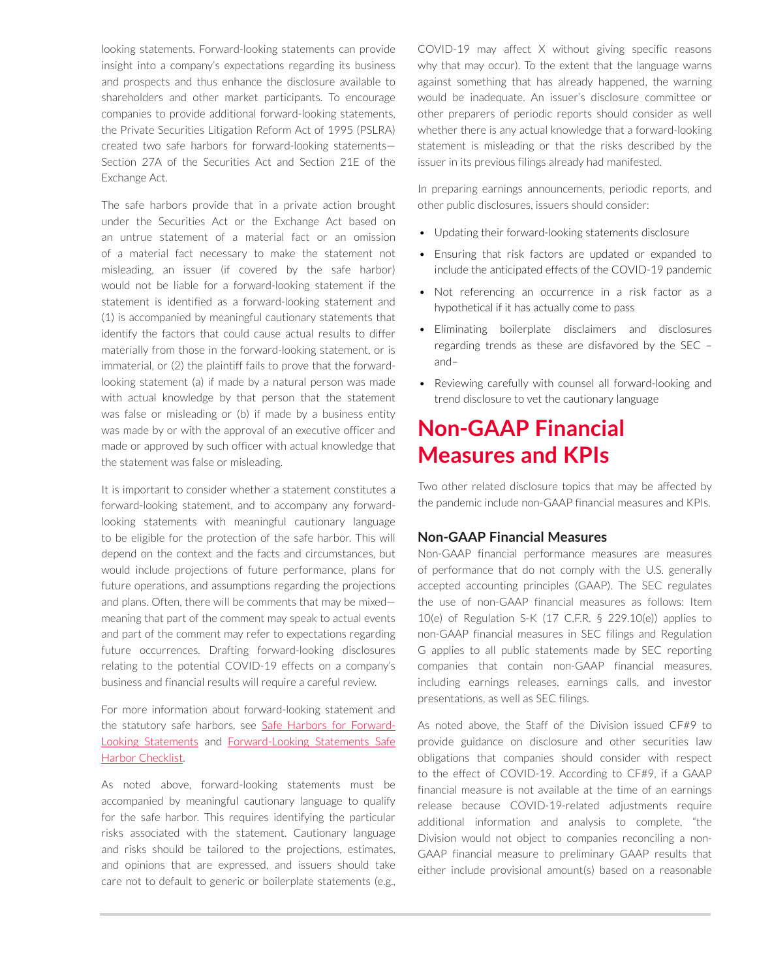looking statements. Forward-looking statements can provide insight into a company's expectations regarding its business and prospects and thus enhance the disclosure available to shareholders and other market participants. To encourage companies to provide additional forward-looking statements, the Private Securities Litigation Reform Act of 1995 (PSLRA) created two safe harbors for forward-looking statements— Section 27A of the Securities Act and Section 21E of the Exchange Act.

The safe harbors provide that in a private action brought under the Securities Act or the Exchange Act based on an untrue statement of a material fact or an omission of a material fact necessary to make the statement not misleading, an issuer (if covered by the safe harbor) would not be liable for a forward-looking statement if the statement is identified as a forward-looking statement and (1) is accompanied by meaningful cautionary statements that identify the factors that could cause actual results to differ materially from those in the forward-looking statement, or is immaterial, or (2) the plaintiff fails to prove that the forwardlooking statement (a) if made by a natural person was made with actual knowledge by that person that the statement was false or misleading or (b) if made by a business entity was made by or with the approval of an executive officer and made or approved by such officer with actual knowledge that the statement was false or misleading.

It is important to consider whether a statement constitutes a forward-looking statement, and to accompany any forwardlooking statements with meaningful cautionary language to be eligible for the protection of the safe harbor. This will depend on the context and the facts and circumstances, but would include projections of future performance, plans for future operations, and assumptions regarding the projections and plans. Often, there will be comments that may be mixed meaning that part of the comment may speak to actual events and part of the comment may refer to expectations regarding future occurrences. Drafting forward-looking disclosures relating to the potential COVID-19 effects on a company's business and financial results will require a careful review.

For more information about forward-looking statement and the statutory safe harbors, see [Safe Harbors for Forward-](https://advance.lexis.com/open/document/lpadocument/?pdmfid=1000522&pddocfullpath=%2Fshared%2Fdocument%2Fanalytical-materials%2Furn%3AcontentItem%3A576Y-2CH1-DXPM-S04B-00000-00&pdcontentcomponentid=500749&pdteaserkey=sr0&pditab=allpods&ecomp=-trg&earg=sr0)[Looking Statements](https://advance.lexis.com/open/document/lpadocument/?pdmfid=1000522&pddocfullpath=%2Fshared%2Fdocument%2Fanalytical-materials%2Furn%3AcontentItem%3A576Y-2CH1-DXPM-S04B-00000-00&pdcontentcomponentid=500749&pdteaserkey=sr0&pditab=allpods&ecomp=-trg&earg=sr0) and [Forward-Looking Statements Safe](https://advance.lexis.com/open/document/lpadocument/?pdmfid=1000522&pddocfullpath=%2Fshared%2Fdocument%2Fforms%2Furn%3AcontentItem%3A5JFD-52G1-FG68-G4HY-00000-00&pdcontentcomponentid=500751&pdteaserkey=sr0&pditab=allpods&ecomp=-trg&earg=sr0)  [Harbor Checklist](https://advance.lexis.com/open/document/lpadocument/?pdmfid=1000522&pddocfullpath=%2Fshared%2Fdocument%2Fforms%2Furn%3AcontentItem%3A5JFD-52G1-FG68-G4HY-00000-00&pdcontentcomponentid=500751&pdteaserkey=sr0&pditab=allpods&ecomp=-trg&earg=sr0).

As noted above, forward-looking statements must be accompanied by meaningful cautionary language to qualify for the safe harbor. This requires identifying the particular risks associated with the statement. Cautionary language and risks should be tailored to the projections, estimates, and opinions that are expressed, and issuers should take care not to default to generic or boilerplate statements (e.g.,

COVID-19 may affect X without giving specific reasons why that may occur). To the extent that the language warns against something that has already happened, the warning would be inadequate. An issuer's disclosure committee or other preparers of periodic reports should consider as well whether there is any actual knowledge that a forward-looking statement is misleading or that the risks described by the issuer in its previous filings already had manifested.

In preparing earnings announcements, periodic reports, and other public disclosures, issuers should consider:

- Updating their forward-looking statements disclosure
- Ensuring that risk factors are updated or expanded to include the anticipated effects of the COVID-19 pandemic
- Not referencing an occurrence in a risk factor as a hypothetical if it has actually come to pass
- Eliminating boilerplate disclaimers and disclosures regarding trends as these are disfavored by the SEC – and–
- Reviewing carefully with counsel all forward-looking and trend disclosure to vet the cautionary language

# **Non-GAAP Financial Measures and KPIs**

Two other related disclosure topics that may be affected by the pandemic include non-GAAP financial measures and KPIs.

### **Non-GAAP Financial Measures**

Non-GAAP financial performance measures are measures of performance that do not comply with the U.S. generally accepted accounting principles (GAAP). The SEC regulates the use of non-GAAP financial measures as follows: Item 10(e) of Regulation S-K (17 C.F.R. § 229.10(e)) applies to non-GAAP financial measures in SEC filings and Regulation G applies to all public statements made by SEC reporting companies that contain non-GAAP financial measures, including earnings releases, earnings calls, and investor presentations, as well as SEC filings.

As noted above, the Staff of the Division issued CF#9 to provide guidance on disclosure and other securities law obligations that companies should consider with respect to the effect of COVID-19. According to CF#9, if a GAAP financial measure is not available at the time of an earnings release because COVID-19-related adjustments require additional information and analysis to complete, "the Division would not object to companies reconciling a non-GAAP financial measure to preliminary GAAP results that either include provisional amount(s) based on a reasonable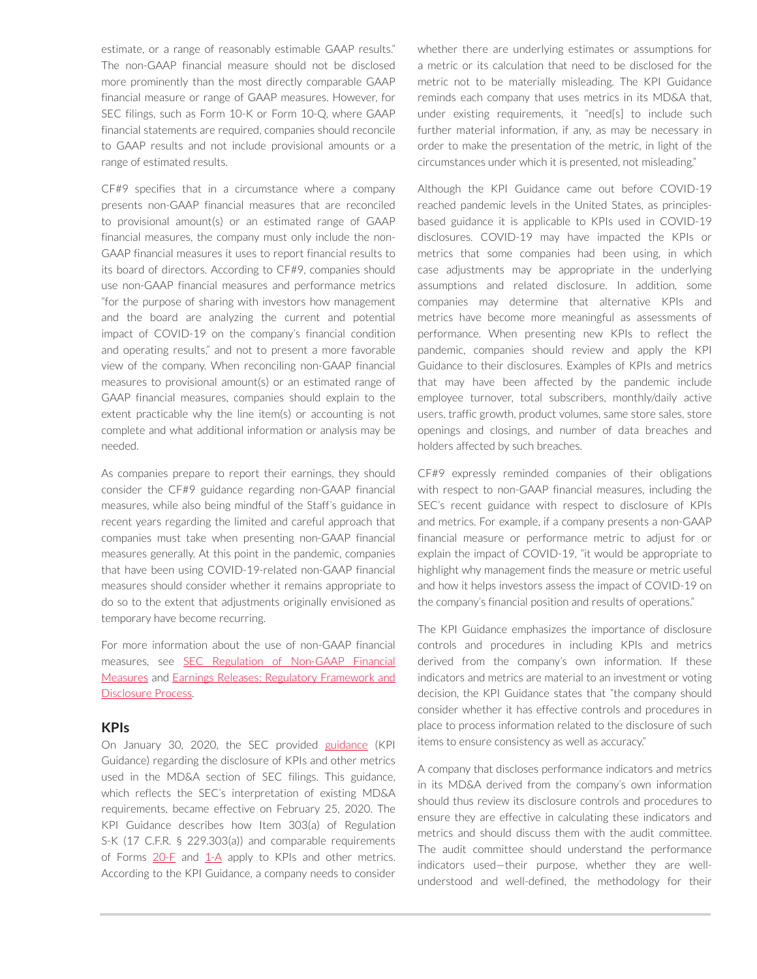estimate, or a range of reasonably estimable GAAP results." The non-GAAP financial measure should not be disclosed more prominently than the most directly comparable GAAP financial measure or range of GAAP measures. However, for SEC filings, such as Form 10-K or Form 10-Q, where GAAP financial statements are required, companies should reconcile to GAAP results and not include provisional amounts or a range of estimated results.

CF#9 specifies that in a circumstance where a company presents non-GAAP financial measures that are reconciled to provisional amount(s) or an estimated range of GAAP financial measures, the company must only include the non-GAAP financial measures it uses to report financial results to its board of directors. According to CF#9, companies should use non-GAAP financial measures and performance metrics "for the purpose of sharing with investors how management and the board are analyzing the current and potential impact of COVID-19 on the company's financial condition and operating results," and not to present a more favorable view of the company. When reconciling non-GAAP financial measures to provisional amount(s) or an estimated range of GAAP financial measures, companies should explain to the extent practicable why the line item(s) or accounting is not complete and what additional information or analysis may be needed.

As companies prepare to report their earnings, they should consider the CF#9 guidance regarding non-GAAP financial measures, while also being mindful of the Staff's guidance in recent years regarding the limited and careful approach that companies must take when presenting non-GAAP financial measures generally. At this point in the pandemic, companies that have been using COVID-19-related non-GAAP financial measures should consider whether it remains appropriate to do so to the extent that adjustments originally envisioned as temporary have become recurring.

For more information about the use of non-GAAP financial measures, see [SEC Regulation of Non-GAAP Financial](https://advance.lexis.com/open/document/lpadocument/?pdmfid=1000522&pddocfullpath=%2Fshared%2Fdocument%2Fanalytical-materials%2Furn%3AcontentItem%3A5SJT-XKD1-JJ1H-X28V-00000-00&pdcontentcomponentid=500749&pdteaserkey=sr0&pditab=allpods&ecomp=-trg&earg=sr0)  [Measures](https://advance.lexis.com/open/document/lpadocument/?pdmfid=1000522&pddocfullpath=%2Fshared%2Fdocument%2Fanalytical-materials%2Furn%3AcontentItem%3A5SJT-XKD1-JJ1H-X28V-00000-00&pdcontentcomponentid=500749&pdteaserkey=sr0&pditab=allpods&ecomp=-trg&earg=sr0) and [Earnings Releases: Regulatory Framework and](https://advance.lexis.com/open/document/lpadocument/?pdmfid=1000522&pddocfullpath=%2Fshared%2Fdocument%2Fanalytical-materials%2Furn%3AcontentItem%3A5RW7-V131-JPP5-20KN-00000-00&pdcontentcomponentid=500749&pdteaserkey=sr0&pditab=allpods&ecomp=-trg&earg=sr0)  [Disclosure Process](https://advance.lexis.com/open/document/lpadocument/?pdmfid=1000522&pddocfullpath=%2Fshared%2Fdocument%2Fanalytical-materials%2Furn%3AcontentItem%3A5RW7-V131-JPP5-20KN-00000-00&pdcontentcomponentid=500749&pdteaserkey=sr0&pditab=allpods&ecomp=-trg&earg=sr0).

#### **KPIs**

On January 30, 2020, the SEC provided [guidance](https://www.sec.gov/rules/interp/2020/33-10751.pdf) (KPI Guidance) regarding the disclosure of KPIs and other metrics used in the MD&A section of SEC filings. This guidance, which reflects the SEC's interpretation of existing MD&A requirements, became effective on February 25, 2020. The KPI Guidance describes how Item 303(a) of Regulation S-K (17 C.F.R. § 229.303(a)) and comparable requirements of Forms  $20$ -F and  $1-A$  apply to KPIs and other metrics. According to the KPI Guidance, a company needs to consider whether there are underlying estimates or assumptions for a metric or its calculation that need to be disclosed for the metric not to be materially misleading. The KPI Guidance reminds each company that uses metrics in its MD&A that, under existing requirements, it "need[s] to include such further material information, if any, as may be necessary in order to make the presentation of the metric, in light of the circumstances under which it is presented, not misleading."

Although the KPI Guidance came out before COVID-19 reached pandemic levels in the United States, as principlesbased guidance it is applicable to KPIs used in COVID-19 disclosures. COVID-19 may have impacted the KPIs or metrics that some companies had been using, in which case adjustments may be appropriate in the underlying assumptions and related disclosure. In addition, some companies may determine that alternative KPIs and metrics have become more meaningful as assessments of performance. When presenting new KPIs to reflect the pandemic, companies should review and apply the KPI Guidance to their disclosures. Examples of KPIs and metrics that may have been affected by the pandemic include employee turnover, total subscribers, monthly/daily active users, traffic growth, product volumes, same store sales, store openings and closings, and number of data breaches and holders affected by such breaches.

CF#9 expressly reminded companies of their obligations with respect to non-GAAP financial measures, including the SEC's recent guidance with respect to disclosure of KPIs and metrics. For example, if a company presents a non-GAAP financial measure or performance metric to adjust for or explain the impact of COVID-19, "it would be appropriate to highlight why management finds the measure or metric useful and how it helps investors assess the impact of COVID-19 on the company's financial position and results of operations."

The KPI Guidance emphasizes the importance of disclosure controls and procedures in including KPIs and metrics derived from the company's own information. If these indicators and metrics are material to an investment or voting decision, the KPI Guidance states that "the company should consider whether it has effective controls and procedures in place to process information related to the disclosure of such items to ensure consistency as well as accuracy."

A company that discloses performance indicators and metrics in its MD&A derived from the company's own information should thus review its disclosure controls and procedures to ensure they are effective in calculating these indicators and metrics and should discuss them with the audit committee. The audit committee should understand the performance indicators used—their purpose, whether they are wellunderstood and well-defined, the methodology for their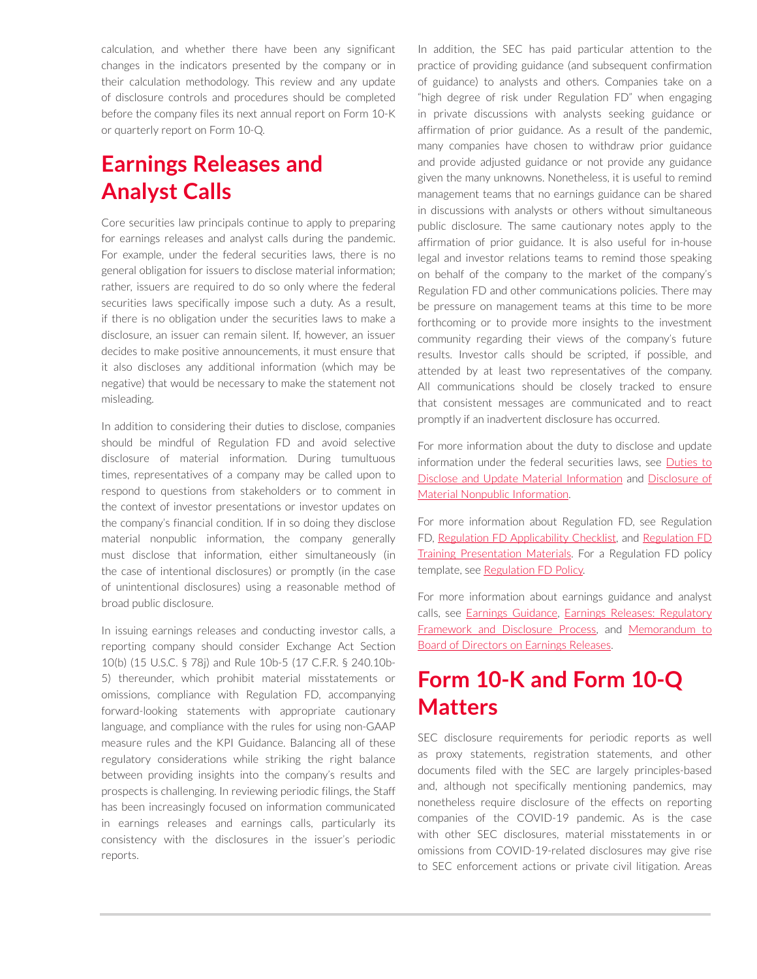calculation, and whether there have been any significant changes in the indicators presented by the company or in their calculation methodology. This review and any update of disclosure controls and procedures should be completed before the company files its next annual report on Form 10-K or quarterly report on Form 10-Q.

# **Earnings Releases and Analyst Calls**

Core securities law principals continue to apply to preparing for earnings releases and analyst calls during the pandemic. For example, under the federal securities laws, there is no general obligation for issuers to disclose material information; rather, issuers are required to do so only where the federal securities laws specifically impose such a duty. As a result, if there is no obligation under the securities laws to make a disclosure, an issuer can remain silent. If, however, an issuer decides to make positive announcements, it must ensure that it also discloses any additional information (which may be negative) that would be necessary to make the statement not misleading.

In addition to considering their duties to disclose, companies should be mindful of Regulation FD and avoid selective disclosure of material information. During tumultuous times, representatives of a company may be called upon to respond to questions from stakeholders or to comment in the context of investor presentations or investor updates on the company's financial condition. If in so doing they disclose material nonpublic information, the company generally must disclose that information, either simultaneously (in the case of intentional disclosures) or promptly (in the case of unintentional disclosures) using a reasonable method of broad public disclosure.

In issuing earnings releases and conducting investor calls, a reporting company should consider Exchange Act Section 10(b) (15 U.S.C. § 78j) and Rule 10b-5 (17 C.F.R. § 240.10b-5) thereunder, which prohibit material misstatements or omissions, compliance with Regulation FD, accompanying forward-looking statements with appropriate cautionary language, and compliance with the rules for using non-GAAP measure rules and the KPI Guidance. Balancing all of these regulatory considerations while striking the right balance between providing insights into the company's results and prospects is challenging. In reviewing periodic filings, the Staff has been increasingly focused on information communicated in earnings releases and earnings calls, particularly its consistency with the disclosures in the issuer's periodic reports.

In addition, the SEC has paid particular attention to the practice of providing guidance (and subsequent confirmation of guidance) to analysts and others. Companies take on a "high degree of risk under Regulation FD" when engaging in private discussions with analysts seeking guidance or affirmation of prior guidance. As a result of the pandemic, many companies have chosen to withdraw prior guidance and provide adjusted guidance or not provide any guidance given the many unknowns. Nonetheless, it is useful to remind management teams that no earnings guidance can be shared in discussions with analysts or others without simultaneous public disclosure. The same cautionary notes apply to the affirmation of prior guidance. It is also useful for in-house legal and investor relations teams to remind those speaking on behalf of the company to the market of the company's Regulation FD and other communications policies. There may be pressure on management teams at this time to be more forthcoming or to provide more insights to the investment community regarding their views of the company's future results. Investor calls should be scripted, if possible, and attended by at least two representatives of the company. All communications should be closely tracked to ensure that consistent messages are communicated and to react promptly if an inadvertent disclosure has occurred.

For more information about the duty to disclose and update information under the federal securities laws, see [Duties to](https://advance.lexis.com/open/document/lpadocument/?pdmfid=1000522&pddocfullpath=%2Fshared%2Fdocument%2Fanalytical-materials%2Furn%3AcontentItem%3A5JFD-50G1-F1H1-24JJ-00000-00&pdcontentcomponentid=500749&pdteaserkey=sr0&pditab=allpods&ecomp=-trg&earg=sr0)  [Disclose and Update Material Information](https://advance.lexis.com/open/document/lpadocument/?pdmfid=1000522&pddocfullpath=%2Fshared%2Fdocument%2Fanalytical-materials%2Furn%3AcontentItem%3A5JFD-50G1-F1H1-24JJ-00000-00&pdcontentcomponentid=500749&pdteaserkey=sr0&pditab=allpods&ecomp=-trg&earg=sr0) and [Disclosure of](https://advance.lexis.com/open/document/lpadocument/?pdmfid=1000522&pddocfullpath=%2Fshared%2Fdocument%2Fanalytical-materials%2Furn%3AcontentItem%3A5T8C-3YM1-JPP5-22YP-00000-00&pdcontentcomponentid=500749&pdteaserkey=sr0&pditab=allpods&ecomp=-trg&earg=sr0) [Material Nonpublic Information](https://advance.lexis.com/open/document/lpadocument/?pdmfid=1000522&pddocfullpath=%2Fshared%2Fdocument%2Fanalytical-materials%2Furn%3AcontentItem%3A5T8C-3YM1-JPP5-22YP-00000-00&pdcontentcomponentid=500749&pdteaserkey=sr0&pditab=allpods&ecomp=-trg&earg=sr0).

For more information about Regulation FD, see Regulation FD, [Regulation FD Applicability Checklist,](https://advance.lexis.com/open/document/lpadocument/?pdmfid=1000522&pddocfullpath=%2Fshared%2Fdocument%2Fforms%2Furn%3AcontentItem%3A5J59-THX1-FGRY-B34X-00000-00&pdcontentcomponentid=500751&pdteaserkey=sr0&pditab=allpods&ecomp=-trg&earg=sr0) and Regulation FD **[Training Presentation Materials](https://advance.lexis.com/open/document/lpadocument/?pdmfid=1000522&pddocfullpath=%2Fshared%2Fdocument%2Fanalytical-materials%2Furn%3AcontentItem%3A5WC3-KW31-F06F-242N-00000-00&pdcontentcomponentid=500749&pdteaserkey=sr0&pditab=allpods&ecomp=-trg&earg=sr0).** For a Regulation FD policy template, see [Regulation FD Policy.](https://advance.lexis.com/open/document/lpadocument/?pdmfid=1000522&pddocfullpath=%2Fshared%2Fdocument%2Fforms%2Furn%3AcontentItem%3A5JCK-9WF1-JN14-G4YK-00000-00&pdcontentcomponentid=500752&pdteaserkey=sr0&pditab=allpods&ecomp=-trg&earg=sr0)

For more information about earnings guidance and analyst calls, see [Earnings Guidance](https://advance.lexis.com/open/document/lpadocument/?pdmfid=1000522&pddocfullpath=%2Fshared%2Fdocument%2Fanalytical-materials%2Furn%3AcontentItem%3A5RW7-V131-JPP5-20KR-00000-00&pdcontentcomponentid=500749&pdteaserkey=sr0&pditab=allpods&ecomp=-trg&earg=sr0), [Earnings Releases: Regulatory](https://advance.lexis.com/open/document/lpadocument/?pdmfid=1000522&pddocfullpath=%2Fshared%2Fdocument%2Fanalytical-materials%2Furn%3AcontentItem%3A5RW7-V131-JPP5-20KN-00000-00&pdcontentcomponentid=500749&pdteaserkey=sr0&pditab=allpods&ecomp=-trg&earg=sr0)  [Framework and Disclosure Process](https://advance.lexis.com/open/document/lpadocument/?pdmfid=1000522&pddocfullpath=%2Fshared%2Fdocument%2Fanalytical-materials%2Furn%3AcontentItem%3A5RW7-V131-JPP5-20KN-00000-00&pdcontentcomponentid=500749&pdteaserkey=sr0&pditab=allpods&ecomp=-trg&earg=sr0), and [Memorandum to](https://advance.lexis.com/open/document/lpadocument/?pdmfid=1000522&pddocfullpath=%2Fshared%2Fdocument%2Fforms%2Furn%3AcontentItem%3A5WSD-9621-FCK4-G202-00000-00&pdcontentcomponentid=500752&pdteaserkey=sr0&pditab=allpods&ecomp=-trg&earg=sr0)  [Board of Directors on Earnings Releases](https://advance.lexis.com/open/document/lpadocument/?pdmfid=1000522&pddocfullpath=%2Fshared%2Fdocument%2Fforms%2Furn%3AcontentItem%3A5WSD-9621-FCK4-G202-00000-00&pdcontentcomponentid=500752&pdteaserkey=sr0&pditab=allpods&ecomp=-trg&earg=sr0).

# **Form 10-K and Form 10-Q Matters**

SEC disclosure requirements for periodic reports as well as proxy statements, registration statements, and other documents filed with the SEC are largely principles-based and, although not specifically mentioning pandemics, may nonetheless require disclosure of the effects on reporting companies of the COVID-19 pandemic. As is the case with other SEC disclosures, material misstatements in or omissions from COVID-19-related disclosures may give rise to SEC enforcement actions or private civil litigation. Areas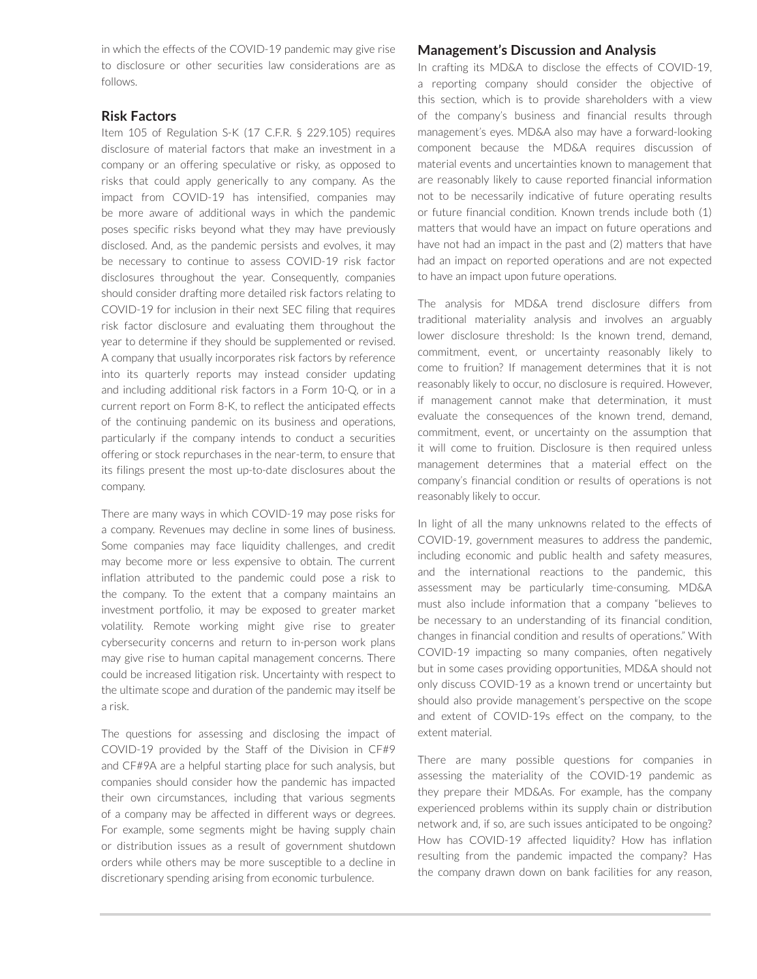in which the effects of the COVID-19 pandemic may give rise to disclosure or other securities law considerations are as follows.

#### **Risk Factors**

Item 105 of Regulation S-K (17 C.F.R. § 229.105) requires disclosure of material factors that make an investment in a company or an offering speculative or risky, as opposed to risks that could apply generically to any company. As the impact from COVID-19 has intensified, companies may be more aware of additional ways in which the pandemic poses specific risks beyond what they may have previously disclosed. And, as the pandemic persists and evolves, it may be necessary to continue to assess COVID-19 risk factor disclosures throughout the year. Consequently, companies should consider drafting more detailed risk factors relating to COVID-19 for inclusion in their next SEC filing that requires risk factor disclosure and evaluating them throughout the year to determine if they should be supplemented or revised. A company that usually incorporates risk factors by reference into its quarterly reports may instead consider updating and including additional risk factors in a Form 10-Q, or in a current report on Form 8-K, to reflect the anticipated effects of the continuing pandemic on its business and operations, particularly if the company intends to conduct a securities offering or stock repurchases in the near-term, to ensure that its filings present the most up-to-date disclosures about the company.

There are many ways in which COVID-19 may pose risks for a company. Revenues may decline in some lines of business. Some companies may face liquidity challenges, and credit may become more or less expensive to obtain. The current inflation attributed to the pandemic could pose a risk to the company. To the extent that a company maintains an investment portfolio, it may be exposed to greater market volatility. Remote working might give rise to greater cybersecurity concerns and return to in-person work plans may give rise to human capital management concerns. There could be increased litigation risk. Uncertainty with respect to the ultimate scope and duration of the pandemic may itself be a risk.

The questions for assessing and disclosing the impact of COVID-19 provided by the Staff of the Division in CF#9 and CF#9A are a helpful starting place for such analysis, but companies should consider how the pandemic has impacted their own circumstances, including that various segments of a company may be affected in different ways or degrees. For example, some segments might be having supply chain or distribution issues as a result of government shutdown orders while others may be more susceptible to a decline in discretionary spending arising from economic turbulence.

#### **Management's Discussion and Analysis**

In crafting its MD&A to disclose the effects of COVID-19, a reporting company should consider the objective of this section, which is to provide shareholders with a view of the company's business and financial results through management's eyes. MD&A also may have a forward-looking component because the MD&A requires discussion of material events and uncertainties known to management that are reasonably likely to cause reported financial information not to be necessarily indicative of future operating results or future financial condition. Known trends include both (1) matters that would have an impact on future operations and have not had an impact in the past and (2) matters that have had an impact on reported operations and are not expected to have an impact upon future operations.

The analysis for MD&A trend disclosure differs from traditional materiality analysis and involves an arguably lower disclosure threshold: Is the known trend, demand, commitment, event, or uncertainty reasonably likely to come to fruition? If management determines that it is not reasonably likely to occur, no disclosure is required. However, if management cannot make that determination, it must evaluate the consequences of the known trend, demand, commitment, event, or uncertainty on the assumption that it will come to fruition. Disclosure is then required unless management determines that a material effect on the company's financial condition or results of operations is not reasonably likely to occur.

In light of all the many unknowns related to the effects of COVID-19, government measures to address the pandemic, including economic and public health and safety measures, and the international reactions to the pandemic, this assessment may be particularly time-consuming. MD&A must also include information that a company "believes to be necessary to an understanding of its financial condition, changes in financial condition and results of operations." With COVID-19 impacting so many companies, often negatively but in some cases providing opportunities, MD&A should not only discuss COVID-19 as a known trend or uncertainty but should also provide management's perspective on the scope and extent of COVID-19s effect on the company, to the extent material.

There are many possible questions for companies in assessing the materiality of the COVID-19 pandemic as they prepare their MD&As. For example, has the company experienced problems within its supply chain or distribution network and, if so, are such issues anticipated to be ongoing? How has COVID-19 affected liquidity? How has inflation resulting from the pandemic impacted the company? Has the company drawn down on bank facilities for any reason,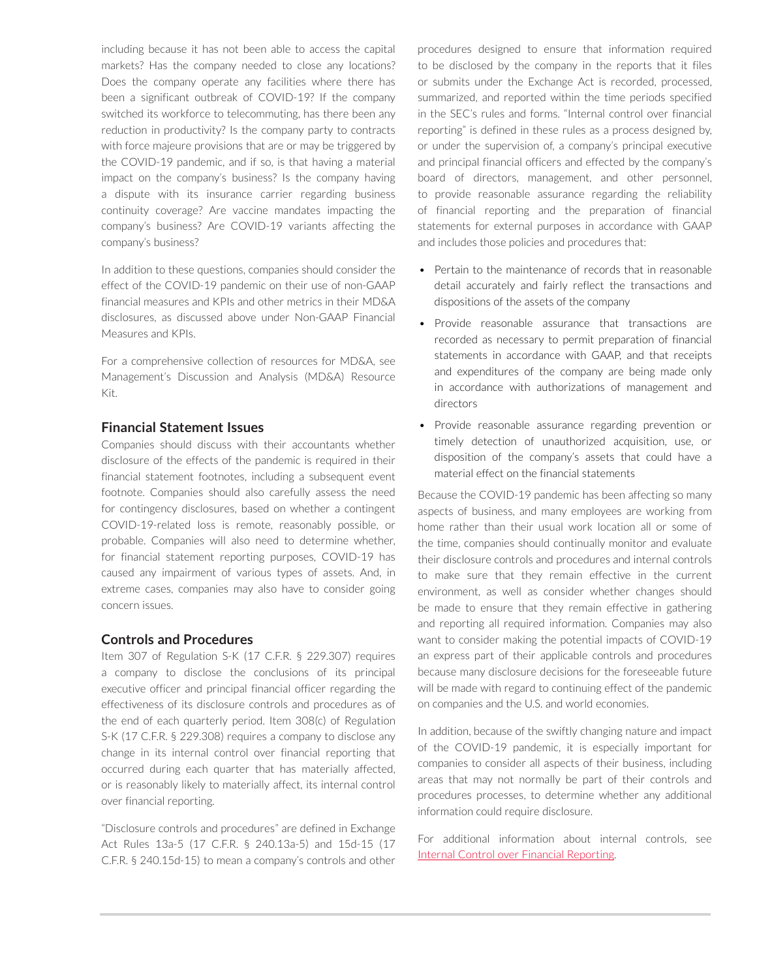including because it has not been able to access the capital markets? Has the company needed to close any locations? Does the company operate any facilities where there has been a significant outbreak of COVID-19? If the company switched its workforce to telecommuting, has there been any reduction in productivity? Is the company party to contracts with force majeure provisions that are or may be triggered by the COVID-19 pandemic, and if so, is that having a material impact on the company's business? Is the company having a dispute with its insurance carrier regarding business continuity coverage? Are vaccine mandates impacting the company's business? Are COVID-19 variants affecting the company's business?

In addition to these questions, companies should consider the effect of the COVID-19 pandemic on their use of non-GAAP financial measures and KPIs and other metrics in their MD&A disclosures, as discussed above under Non-GAAP Financial Measures and KPIs.

For a comprehensive collection of resources for MD&A, see [Management's Discussion and Analysis \(MD&A\) Resource](https://advance.lexis.com/open/document/lpadocument/?pdmfid=1000522&pddocfullpath=%2Fshared%2Fdocument%2Fanalytical-materials%2Furn%3AcontentItem%3A62N1-W4H1-FGRY-B3N2-00000-00&pdcontentcomponentid=500749&pdteaserkey=sr0&pditab=allpods&ecomp=-trg&earg=sr0)  [Kit](https://advance.lexis.com/open/document/lpadocument/?pdmfid=1000522&pddocfullpath=%2Fshared%2Fdocument%2Fanalytical-materials%2Furn%3AcontentItem%3A62N1-W4H1-FGRY-B3N2-00000-00&pdcontentcomponentid=500749&pdteaserkey=sr0&pditab=allpods&ecomp=-trg&earg=sr0).

#### **Financial Statement Issues**

Companies should discuss with their accountants whether disclosure of the effects of the pandemic is required in their financial statement footnotes, including a subsequent event footnote. Companies should also carefully assess the need for contingency disclosures, based on whether a contingent COVID-19-related loss is remote, reasonably possible, or probable. Companies will also need to determine whether, for financial statement reporting purposes, COVID-19 has caused any impairment of various types of assets. And, in extreme cases, companies may also have to consider going concern issues.

#### **Controls and Procedures**

Item 307 of Regulation S-K (17 C.F.R. § 229.307) requires a company to disclose the conclusions of its principal executive officer and principal financial officer regarding the effectiveness of its disclosure controls and procedures as of the end of each quarterly period. Item 308(c) of Regulation S-K (17 C.F.R. § 229.308) requires a company to disclose any change in its internal control over financial reporting that occurred during each quarter that has materially affected, or is reasonably likely to materially affect, its internal control over financial reporting.

"Disclosure controls and procedures" are defined in Exchange Act Rules 13a-5 (17 C.F.R. § 240.13a-5) and 15d-15 (17 C.F.R. § 240.15d-15) to mean a company's controls and other procedures designed to ensure that information required to be disclosed by the company in the reports that it files or submits under the Exchange Act is recorded, processed, summarized, and reported within the time periods specified in the SEC's rules and forms. "Internal control over financial reporting" is defined in these rules as a process designed by, or under the supervision of, a company's principal executive and principal financial officers and effected by the company's board of directors, management, and other personnel, to provide reasonable assurance regarding the reliability of financial reporting and the preparation of financial statements for external purposes in accordance with GAAP and includes those policies and procedures that:

- Pertain to the maintenance of records that in reasonable detail accurately and fairly reflect the transactions and dispositions of the assets of the company
- Provide reasonable assurance that transactions are recorded as necessary to permit preparation of financial statements in accordance with GAAP, and that receipts and expenditures of the company are being made only in accordance with authorizations of management and directors
- Provide reasonable assurance regarding prevention or timely detection of unauthorized acquisition, use, or disposition of the company's assets that could have a material effect on the financial statements

Because the COVID-19 pandemic has been affecting so many aspects of business, and many employees are working from home rather than their usual work location all or some of the time, companies should continually monitor and evaluate their disclosure controls and procedures and internal controls to make sure that they remain effective in the current environment, as well as consider whether changes should be made to ensure that they remain effective in gathering and reporting all required information. Companies may also want to consider making the potential impacts of COVID-19 an express part of their applicable controls and procedures because many disclosure decisions for the foreseeable future will be made with regard to continuing effect of the pandemic on companies and the U.S. and world economies.

In addition, because of the swiftly changing nature and impact of the COVID-19 pandemic, it is especially important for companies to consider all aspects of their business, including areas that may not normally be part of their controls and procedures processes, to determine whether any additional information could require disclosure.

For additional information about internal controls, see [Internal Control over Financial Reporting.](https://advance.lexis.com/open/document/lpadocument/?pdmfid=1000522&pddocfullpath=%2Fshared%2Fdocument%2Fanalytical-materials%2Furn%3AcontentItem%3A576Y-2CH1-DXPM-S04J-00000-00&pdcontentcomponentid=500749&pdteaserkey=sr0&pditab=allpods&ecomp=-trg&earg=sr0)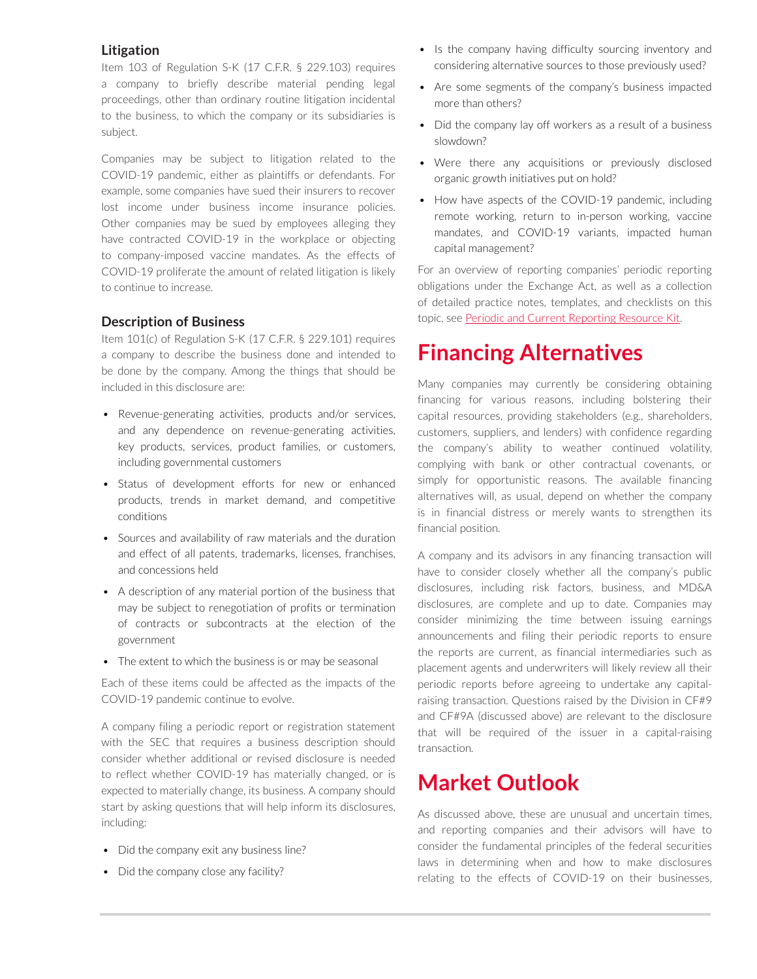### **Litigation**

Item 103 of Regulation S-K (17 C.F.R. § 229.103) requires a company to briefly describe material pending legal proceedings, other than ordinary routine litigation incidental to the business, to which the company or its subsidiaries is subject.

Companies may be subject to litigation related to the COVID-19 pandemic, either as plaintiffs or defendants. For example, some companies have sued their insurers to recover lost income under business income insurance policies. Other companies may be sued by employees alleging they have contracted COVID-19 in the workplace or objecting to company-imposed vaccine mandates. As the effects of COVID-19 proliferate the amount of related litigation is likely to continue to increase.

### **Description of Business**

Item 101(c) of Regulation S-K (17 C.F.R. § 229.101) requires a company to describe the business done and intended to be done by the company. Among the things that should be included in this disclosure are:

- Revenue-generating activities, products and/or services, and any dependence on revenue-generating activities, key products, services, product families, or customers, including governmental customers
- Status of development efforts for new or enhanced products, trends in market demand, and competitive conditions
- Sources and availability of raw materials and the duration and effect of all patents, trademarks, licenses, franchises, and concessions held
- A description of any material portion of the business that may be subject to renegotiation of profits or termination of contracts or subcontracts at the election of the government
- The extent to which the business is or may be seasonal

Each of these items could be affected as the impacts of the COVID-19 pandemic continue to evolve.

A company filing a periodic report or registration statement with the SEC that requires a business description should consider whether additional or revised disclosure is needed to reflect whether COVID-19 has materially changed, or is expected to materially change, its business. A company should start by asking questions that will help inform its disclosures, including:

- Did the company exit any business line?
- Did the company close any facility?
- Is the company having difficulty sourcing inventory and considering alternative sources to those previously used?
- Are some segments of the company's business impacted more than others?
- Did the company lay off workers as a result of a business slowdown?
- Were there any acquisitions or previously disclosed organic growth initiatives put on hold?
- How have aspects of the COVID-19 pandemic, including remote working, return to in-person working, vaccine mandates, and COVID-19 variants, impacted human capital management?

For an overview of reporting companies' periodic reporting obligations under the Exchange Act, as well as a collection of detailed practice notes, templates, and checklists on this topic, see [Periodic and Current Reporting Resource Kit](https://advance.lexis.com/open/document/lpadocument/?pdmfid=1000522&pddocfullpath=%2Fshared%2Fdocument%2Fanalytical-materials%2Furn%3AcontentItem%3A5MM6-CB71-K054-G29W-00000-00&pdcontentcomponentid=500749&pdteaserkey=sr0&pditab=allpods&ecomp=-trg&earg=sr0).

# **Financing Alternatives**

Many companies may currently be considering obtaining financing for various reasons, including bolstering their capital resources, providing stakeholders (e.g., shareholders, customers, suppliers, and lenders) with confidence regarding the company's ability to weather continued volatility, complying with bank or other contractual covenants, or simply for opportunistic reasons. The available financing alternatives will, as usual, depend on whether the company is in financial distress or merely wants to strengthen its financial position.

A company and its advisors in any financing transaction will have to consider closely whether all the company's public disclosures, including risk factors, business, and MD&A disclosures, are complete and up to date. Companies may consider minimizing the time between issuing earnings announcements and filing their periodic reports to ensure the reports are current, as financial intermediaries such as placement agents and underwriters will likely review all their periodic reports before agreeing to undertake any capitalraising transaction. Questions raised by the Division in CF#9 and CF#9A (discussed above) are relevant to the disclosure that will be required of the issuer in a capital-raising transaction.

# **Market Outlook**

As discussed above, these are unusual and uncertain times, and reporting companies and their advisors will have to consider the fundamental principles of the federal securities laws in determining when and how to make disclosures relating to the effects of COVID-19 on their businesses,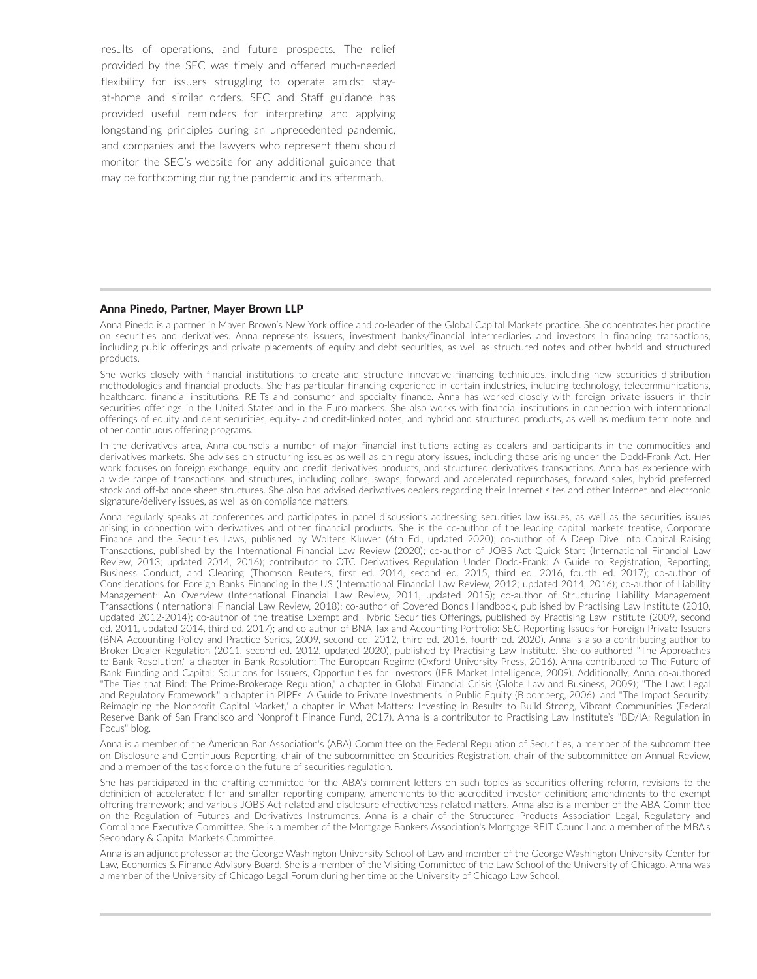results of operations, and future prospects. The relief provided by the SEC was timely and offered much-needed flexibility for issuers struggling to operate amidst stayat-home and similar orders. SEC and Staff guidance has provided useful reminders for interpreting and applying longstanding principles during an unprecedented pandemic, and companies and the lawyers who represent them should monitor the SEC's website for any additional guidance that may be forthcoming during the pandemic and its aftermath.

#### Anna Pinedo, Partner, Mayer Brown LLP

Anna Pinedo is a partner in Mayer Brown's New York office and co-leader of the Global Capital Markets practice. She concentrates her practice on securities and derivatives. Anna represents issuers, investment banks/financial intermediaries and investors in financing transactions, including public offerings and private placements of equity and debt securities, as well as structured notes and other hybrid and structured products.

She works closely with financial institutions to create and structure innovative financing techniques, including new securities distribution methodologies and financial products. She has particular financing experience in certain industries, including technology, telecommunications, healthcare, financial institutions, REITs and consumer and specialty finance. Anna has worked closely with foreign private issuers in their securities offerings in the United States and in the Euro markets. She also works with financial institutions in connection with international offerings of equity and debt securities, equity- and credit-linked notes, and hybrid and structured products, as well as medium term note and other continuous offering programs.

In the derivatives area, Anna counsels a number of major financial institutions acting as dealers and participants in the commodities and derivatives markets. She advises on structuring issues as well as on regulatory issues, including those arising under the Dodd-Frank Act. Her work focuses on foreign exchange, equity and credit derivatives products, and structured derivatives transactions. Anna has experience with a wide range of transactions and structures, including collars, swaps, forward and accelerated repurchases, forward sales, hybrid preferred stock and off-balance sheet structures. She also has advised derivatives dealers regarding their Internet sites and other Internet and electronic signature/delivery issues, as well as on compliance matters.

Anna regularly speaks at conferences and participates in panel discussions addressing securities law issues, as well as the securities issues arising in connection with derivatives and other financial products. She is the co-author of the leading capital markets treatise, Corporate Finance and the Securities Laws, published by Wolters Kluwer (6th Ed., updated 2020); co-author of A Deep Dive Into Capital Raising Transactions, published by the International Financial Law Review (2020); co-author of JOBS Act Quick Start (International Financial Law Review, 2013; updated 2014, 2016); contributor to OTC Derivatives Regulation Under Dodd-Frank: A Guide to Registration, Reporting, Business Conduct, and Clearing (Thomson Reuters, first ed. 2014, second ed. 2015, third ed. 2016, fourth ed. 2017); co-author of Considerations for Foreign Banks Financing in the US (International Financial Law Review, 2012; updated 2014, 2016); co-author of Liability Management: An Overview (International Financial Law Review, 2011, updated 2015); co-author of Structuring Liability Management Transactions (International Financial Law Review, 2018); co-author of Covered Bonds Handbook, published by Practising Law Institute (2010, updated 2012-2014); co-author of the treatise Exempt and Hybrid Securities Offerings, published by Practising Law Institute (2009, second ed. 2011, updated 2014, third ed. 2017); and co-author of BNA Tax and Accounting Portfolio: SEC Reporting Issues for Foreign Private Issuers (BNA Accounting Policy and Practice Series, 2009, second ed. 2012, third ed. 2016, fourth ed. 2020). Anna is also a contributing author to Broker-Dealer Regulation (2011, second ed. 2012, updated 2020), published by Practising Law Institute. She co-authored "The Approaches to Bank Resolution," a chapter in Bank Resolution: The European Regime (Oxford University Press, 2016). Anna contributed to The Future of Bank Funding and Capital: Solutions for Issuers, Opportunities for Investors (IFR Market Intelligence, 2009). Additionally, Anna co-authored "The Ties that Bind: The Prime-Brokerage Regulation," a chapter in Global Financial Crisis (Globe Law and Business, 2009); "The Law: Legal and Regulatory Framework," a chapter in PIPEs: A Guide to Private Investments in Public Equity (Bloomberg, 2006); and "The Impact Security: Reimagining the Nonprofit Capital Market," a chapter in What Matters: Investing in Results to Build Strong, Vibrant Communities (Federal Reserve Bank of San Francisco and Nonprofit Finance Fund, 2017). Anna is a contributor to Practising Law Institute's "BD/IA: Regulation in Focus" blog.

Anna is a member of the American Bar Association's (ABA) Committee on the Federal Regulation of Securities, a member of the subcommittee on Disclosure and Continuous Reporting, chair of the subcommittee on Securities Registration, chair of the subcommittee on Annual Review, and a member of the task force on the future of securities regulation.

She has participated in the drafting committee for the ABA's comment letters on such topics as securities offering reform, revisions to the definition of accelerated filer and smaller reporting company, amendments to the accredited investor definition; amendments to the exempt offering framework; and various JOBS Act-related and disclosure effectiveness related matters. Anna also is a member of the ABA Committee on the Regulation of Futures and Derivatives Instruments. Anna is a chair of the Structured Products Association Legal, Regulatory and Compliance Executive Committee. She is a member of the Mortgage Bankers Association's Mortgage REIT Council and a member of the MBA's Secondary & Capital Markets Committee.

Anna is an adjunct professor at the George Washington University School of Law and member of the George Washington University Center for Law, Economics & Finance Advisory Board. She is a member of the Visiting Committee of the Law School of the University of Chicago. Anna was a member of the University of Chicago Legal Forum during her time at the University of Chicago Law School.